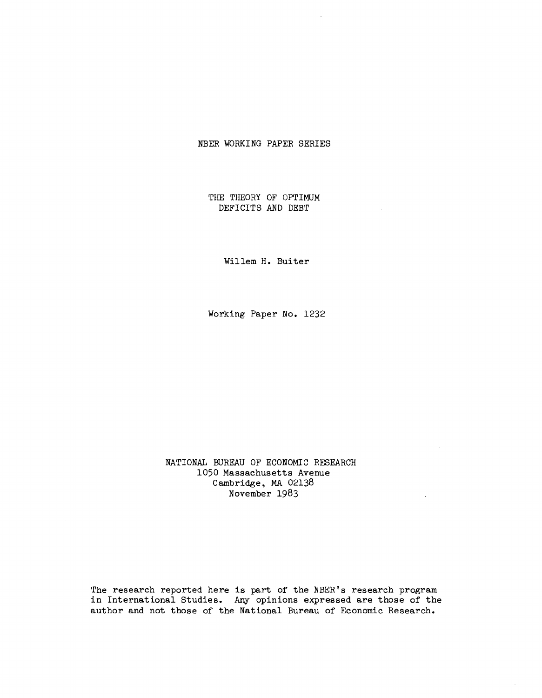## NBER WORKING PAPER SERIES

THE THEORY OF OPTIMUM DEFICITS AND DEBT

Willem H. Buiter

Working Paper No. 1232

NATIONAL BUREAU OF ECONOMIC RESEARCH 1050 Massachusetts Avenue Cambridge, MA 02138 November 1983

The research reported here is part of the NBER's research program in International Studies. Any opinions expressed are those of the author and not those of the National Bureau of Economic Research.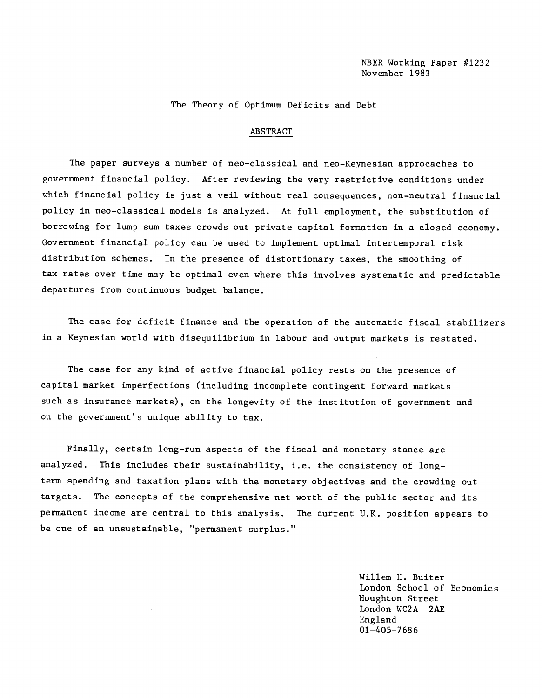The Theory of Optimum Deficits and Debt

### ABSTRACT

The paper surveys a number of neo—classical and neo—Keynesian approcaches to government financial policy. After reviewing the very restrictive conditions under which financial policy is just a veil without real consequences, non—neutral financial policy in neo—classical models is analyzed. At full employment, the substitution of borrowing for lump sum taxes crowds out private capital formation in a closed economy. Government financial policy can be used to implement optimal intertemporal risk distribution schemes. In the presence of distortionary taxes, the smoothing of tax rates over time may be optimal even where this involves systematic and predictable departures from continuous budget balance.

The case for deficit finance and the operation of the automatic fiscal stabilizers in a Keynesian world with disequilibrium in labour and output markets is restated.

The case for any kind of active financial policy rests on the presence of capital market imperfections (including incomplete contingent forward markets such as insurance markets), on the longevity of the institution of government and on the government's unique ability to tax.

Finally, certain long—run aspects of the fiscal and monetary stance are analyzed. This includes their sustainability, i.e. the consistency of long term spending and taxation plans with the monetary objectives and the crowding out targets. The concepts of the comprehensive net worth of the public sector and its permanent income are central to this analysis. The current U.K. position appears to be one of an unsustainable, "permanent surplus."

> Willem H. Buiter London School of Economics Houghton Street London WC2A 2AE England 01—405—7 68 6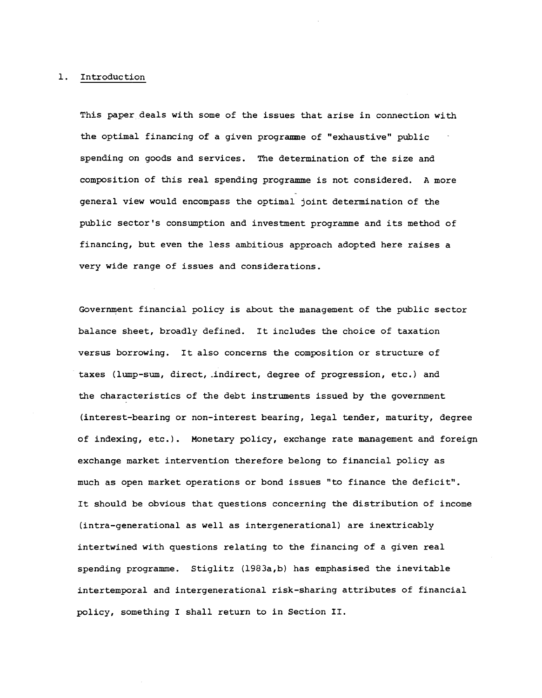### 1. Introduction

This paper deals with some of the issues that arise in connection with the optimal financing of a given progrannne of "exhaustive" public spending on goods and services. The determination of the size and composition of this real spending programme is not considered. A more general view would encompass the optimal joint determination of the public sector 's consumption and investment programme and its method of financing, but even the less ambitious approach adopted here raises a very wide range of issues and considerations.

Government financial policy is about the management of the public sector balance sheet, broadly defined. It includes the choice of taxation versus borrowing. It also concerns the composition or structure of taxes (lump-sum, direct, indirect, degree of progression, etc.) and the characteristics of the debt instruments issued by the government (interest-bearing or non-interest bearing, legal tender, maturity, degree of indexing, etc.). Monetary policy, exchange rate management and foreign exchange market intervention therefore belong to financial policy as much as open market operations or bond issues "to finance the deficit". It should be obvious that questions concerning the distribution of income (intra—generational as well as intergenerational) are inextricably intertwined with questions relating to the financing of a given real spending programme. Stiglitz (l983a,b) has emphasised the inevitable intertemporal and intergenerational risk-sharing attributes of financial policy, something I shall return to in Section II.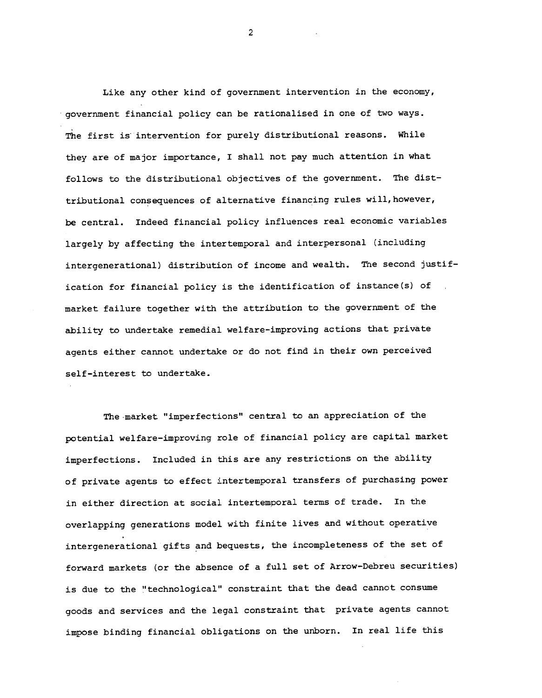Like any other kind of government intervention in the economy, government financial policy can be rationalised in one of two ways. The first is intervention for purely distributional reasons. While they are of major importance, I shall not pay much attention in what follows to the distributional objectives of the government. The disttributional consequences of alternative financing rules will, however, be central. Indeed financial policy influences real economic variables largely by affecting the intertemporal and interpersonal (including intergenerational) distribution of income and wealth. The second justification for financial policy is the identification of instance(s) of market failure together with the attribution to the government of the ability to undertake remedial welfare-improving actions that private agents either cannot undertake or do not find in their own perceived self-interest to undertake.

The market "imperfections" central to an appreciation of the potential welfare-improving role of financial policy are capital market imperfections. Included in this are any restrictions on the ability of private agents to effect intertemporal transfers of purchasing power in either direction at social intertemporal terms of trade. In the overlapping generations model with finite lives and without operative intergenerational gifts and bequests, the incompleteness of the set of forward markets (or the absence of a full set of Arrow—Debreu securities) is due to the "technological" constraint that the dead cannot consume goods and services and the legal constraint that private agents cannot impose binding financial obligations on the unborn. In real life this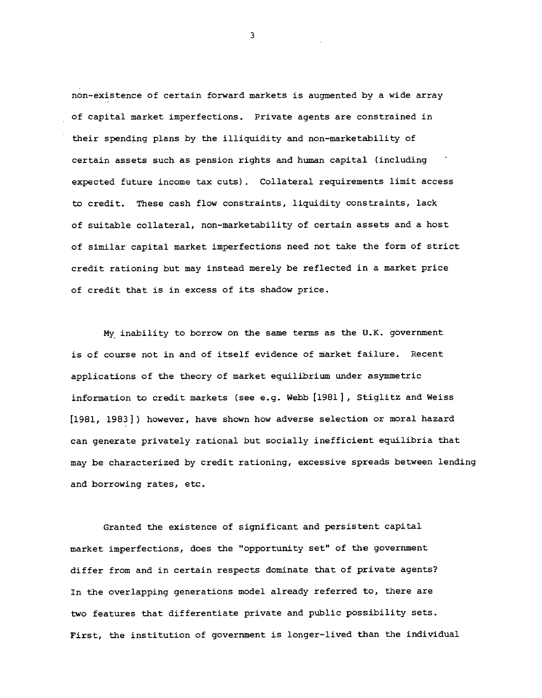non-existence of certain forward markets is augmented by a wide array of capital market imperfections. Private agents are constrained in their spending plans by the illiquidity and non-marketability of certain assets such as pension rights and human capital (including expected future income tax cuts) . Collateral requirements limit access to credit. These cash flow constraints, liquidity constraints, lack of suitable collateral, non-marketability of certain assets and a host of similar capital market imperfections need not take the form of strict credit rationing but may instead merely be reflected in a market price of credit that is in excess of its shadow price.

My inability to borrow on the same terms as the U.K. government is of course not in and of itself evidence of market failure. Recent applications of the theory of market equilibrium under asymmetric Information to credit markets (see e.g. Webb [1981], Stiglitz and Weiss [1981, 1983]) however, have shown how adverse selection or moral hazard can generate privately rational but socially inefficient equilibria that may be characterized by credit rationing, excessive spreads between lending and borrowing rates, etc.

Granted the existence of significant and persistent capital market imperfections, does the "opportunity set" of the government differ from and in certain respects dominate that of private agents? In the overlapping generations model already referred to, there are two features that differentiate private and public possibility sets. First, the institution of government is longer-lived than the individual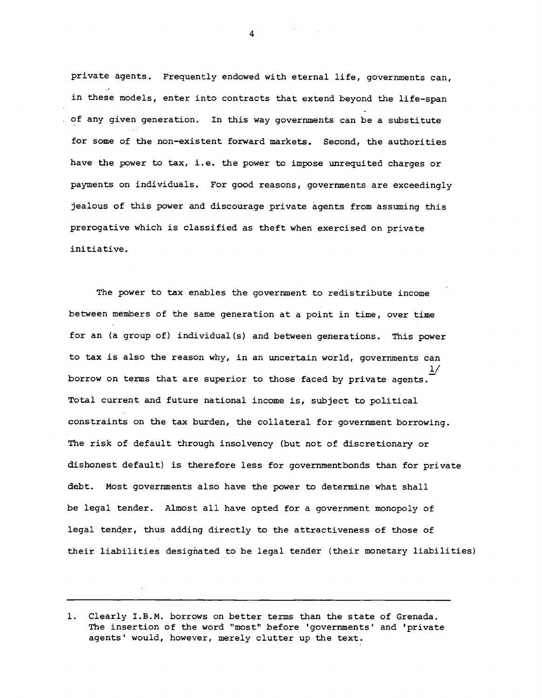private agents. Frequently endowed with eternal life, governments can, in these models, enter into contracts that extend beyond the life-span of any given generation. In this way governments can be a substitute for some of the non-existent forward markets. Second, the authorities have the power to tax, i.e. the power to impose unrequited charges or payments on individuals. For good reasons, governments are exceedingly jealous of this power and discourage private agents from assuming this prerogative which is classified as theft when exercised on private initiative.

The power to tax enables the government to redistribute income between members of the same generation at a point in time, over time for an (a group of) individual(s) and between generations. This power to tax is also the reason why, in an uncertain world, governments can  $\frac{1}{\sqrt{2}}$ borrow on terms that are superior to those faced by private agents. Total current and future national income is, subject to political constraints on the tax burden, the collateral for government borrowing. The risk of default through insolvency (but not of discretionary or dishonest default) is therefore less for governmentbonds than for private debt. Most governments also have the power to determine what shall be legal tender. Almost all have opted for a government monopoly of legal tender, thus adding directly to the attractiveness of those of their liabilities designated to be legal tender (their monetary liabilities)

<sup>1.</sup> Clearly I.B.M. borrows on better terms than the state of Grenada. The insertion of the word "most" before 'governments' and 'private agents' would, however, merely clutter up the text.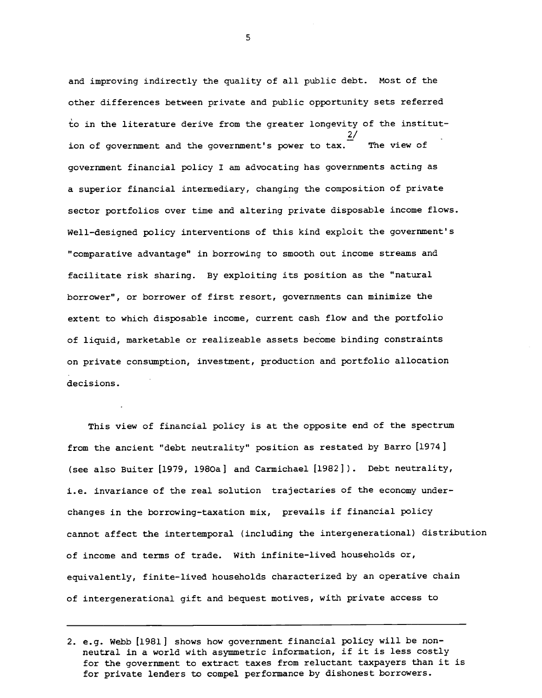and improving indirectly the quality of all public debt. Most of the other differences between private and public opportunity sets referred to in the literature derive from the greater longevity of the institution of government and the government's power to  $\frac{27}{\pi}$  The view of government financial policy I am advocating has governments acting as a superior financial intermediary, changing the composition of private sector portfolios over time and altering private disposable income flows. Well—designed policy interventions of this kind exploit the government's "comparative advantage" in borrowing to smooth out income streams and facilitate risk sharing. By exploiting its position as the "natural borrower", or borrower of first resort, governments can minimize the extent to which disposable income, current cash flow and the portfolio of liquid, marketable or realizeable assets become binding constraints on private consumption, investment, production and portfolio allocation decisions.

This view of financial policy is at the opposite end of the spectrum from the ancient "debt neutrality" position as restated by Barro [1974] (see also Buiter [1979, l980a] and Carmichael [1982]). Debt neutrality, i.e. invariance of the real solution trajectaries of the economy underchanges in the borrowing-taxation mix, prevails if financial policy cannot affect the intertemporal (including the intergenerational) distribution of income and terms of trade. With infinite-lived households or, equivalently, finite-lived households characterized by an operative chain of intergenerational gift and bequest motives, with private access to

<sup>2.</sup> e.g. Webb [1981] shows how government financial policy will be nonneutral in a world with asymmetric information, if it is less costly for the government to extract taxes from reluctant taxpayers than it is for private lenders to compel performance by dishonest borrowers.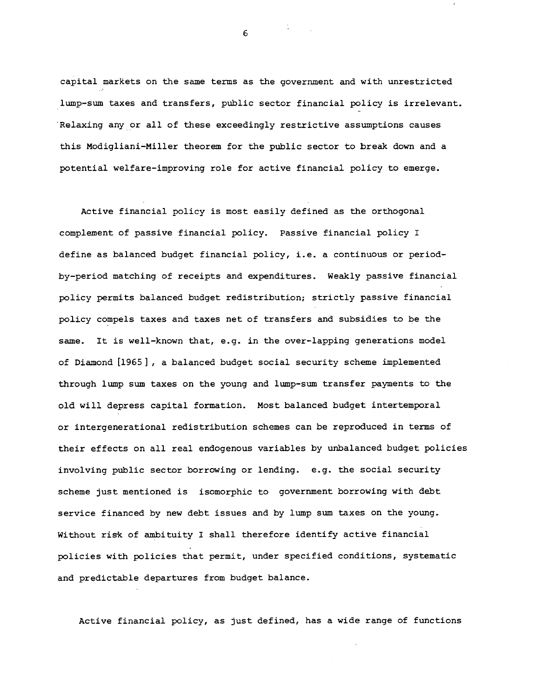capital markets on the same terms as the government and with unrestricted lump-sum taxes and transfers, public sector financial policy is irrelevant. Relaxing any or all of these exceedingly restrictive assumptions causes this Modigliani—Miller theorem for the public sector to break down and a potential welfare-improving role for active financial policy to emerge.

Active financial policy is most easily defined as the orthogonal complement of passive financial policy. Passive financial policy I define as balanced budget financial policy, i.e. a continuous or period by-period matching of receipts and expenditures. Weakly passive financial policy permits balanced budget redistribution; strictly passive financial policy compels taxes and taxes net of transfers and subsidies to be the same. It is well—known that, e.g. in the over-lapping generations model of Diamond [1965] , a balanced budget social security scheme implemented through lump sum taxes on the young and lump—sum transfer payments to the old will depress capital formation. Most balanced budget intertemporal or intergenerational redistribution schemes can be reproduced in terms of their effects on all real endogenous variables by unbalanced budget policies involving public sector borrowing or lending. e.g. the social security scheme just mentioned is isomorphic to government borrowing with debt service financed by new debt issues and by lump sum taxes on the young. Without risk of ambituity I shall therefore identify active financial policies with policies that permit, under specified conditions, systematic and predictable departures from budget balance.

Active financial policy, as just defined, has a wide range of functions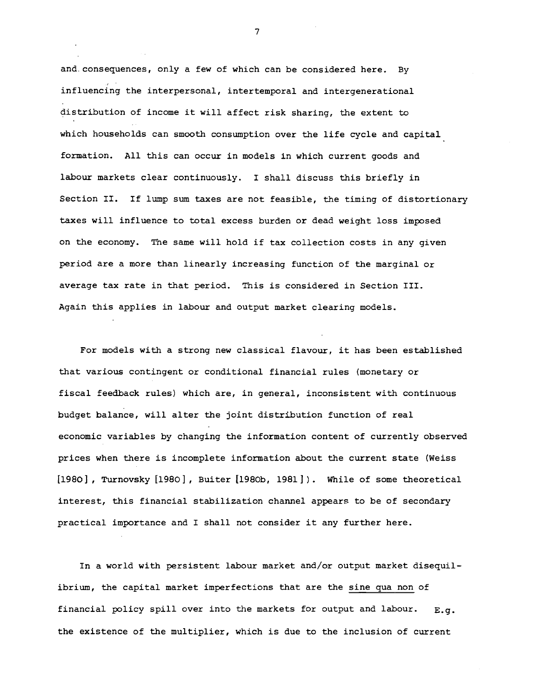and. consequences, only a few of which can be considered here. By influencing the interpersonal, intertemporal and intergenerational distribution of income it will affect risk sharing, the extent to which households can smooth consumption over the life cycle and capital formation. All this can occur in models in which current goods and labour markets clear continuously. I shall discuss this briefly in Section II. If lump sum taxes are not feasible, the timing of distortionary taxes will influence to total excess burden or dead weight loss imposed on the economy. The same will hold if tax collection costs in any given period are a more than linearly increasing function of the marginal or average tax rate in that period. This is considered in Section III. Again this applies in labour and output market clearing models.

For models with a strong new classical flavour, it has been established that various contingent or conditional financial rules (monetary or fiscal feedback rules) which are, in general, inconsistent with continuous budget balance, will alter the joint distribution function of real economic variables by changing the information content of currently observed prices when there is incomplete information about the current state (Weiss [1980], Turnovsky [1980], Buiter [1980b, 1981]). While of some theoretical interest, this financial stabilization channel appears to be of secondary practical importance and I shall not consider it any further here.

In a world with persistent labour market and/or output market disequilibrium, the capital market imperfections that are the sine qua non of financial policy spill over into the markets for output and labour.  $E.q.$ the existence of the multiplier, which is due to the inclusion of current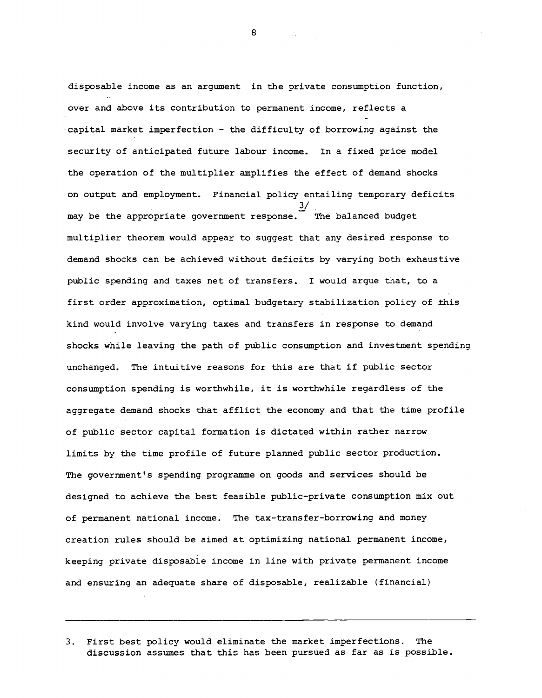disposable income as an argument in the private consumption function, over and above its contribution to permanent income, reflects a capital market imperfection - the difficulty of borrowing against the security of anticipated future labour income. In a fixed price model the operation of the multiplier amplifies the effect of demand shocks on output and employment. Financial policy entailing temporary deficits  $3/$ may be the appropriate government response. The balanced budget multiplier theorem would appear to suggest that any desired response to demand shocks can be achieved without deficits by varying both exhaustive public spending and taxes net of transfers. I would argue that, to a first order approximation, optimal budgetary stabilization policy of this kind would involve varying taxes and transfers in response to demand shocks while leaving the path of public consumption and investment spending unchanged. The intuitive reasons for this are that if public sector consumption spending is worthwhile, it is worthwhile regardless of the aggregate demand shocks that afflict the economy and that the time profile of public sector capital formation is dictated within rather narrow limits by the time profile of future planned public sector production. The government's spending programme on goods and services should be designed to achieve the best feasible public—private consumption mix out of permanent national income. The tax-transfer-borrowing and money creation rules should be aimed at optimizing national permanent income, keeping private disposable income in line with private permanent income and ensuring an adequate share of disposable, realizable (financial)

8 and 200

<sup>3.</sup> First best policy would eliminate the market imperfections. The discussion assumes that this has been pursued as far as is possible.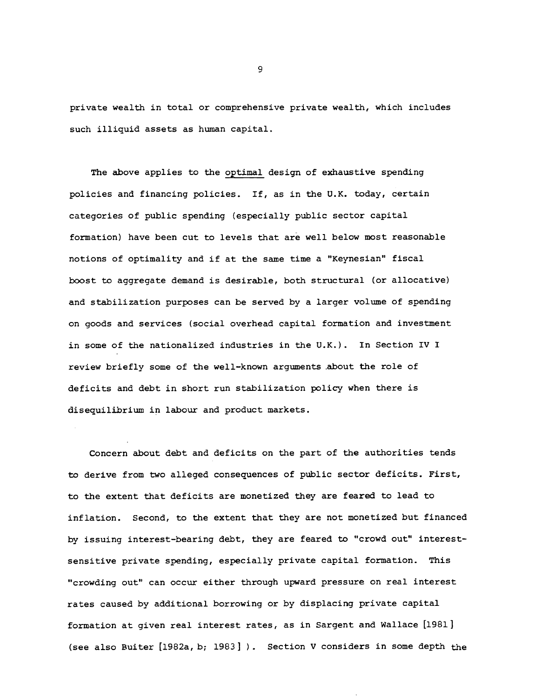private wealth in total or comprehensive private wealth, which includes such illiquid assets as human capital.

The above applies to the optimal design of exhaustive spending policies and financing policies. If, as in the U.K. today, certain categories of public spending (especially public sector capital formation) have been cut to levels that are well below most reasonable notions of optimality and if at the same time a "Keynesian" fiscal boost to aggregate demand is desirable, both structural (or allocative) and stabilization purposes can be served by a larger volume of spending on goods and services (social overhead capital formation and investment in some of the nationalized industries in the U.K.). In Section IV I review briefly some of the well—known arguments .about the role of deficits and debt in short run stabilization policy when there is disequilibrium in labour and product markets.

Concern about debt and deficits on the part of the authorities tends to derive from two alleged consequences of public sector deficits. First, to the extent that deficits are monetized they are feared to lead to inflation. Second, to the extent that they are not monetized but financed by issuing interest—bearing debt, they are feared to "crowd out" interestsensitive private spending, especially private capital formation. This "crowding out" can occur either through upward pressure on real interest rates caused by additional borrowing or by displacing private capital formation at given real interest rates, as in Sargent and Wallace [1981] (see also Buiter  $[1982a, b; 1983]$ ). Section V considers in some depth the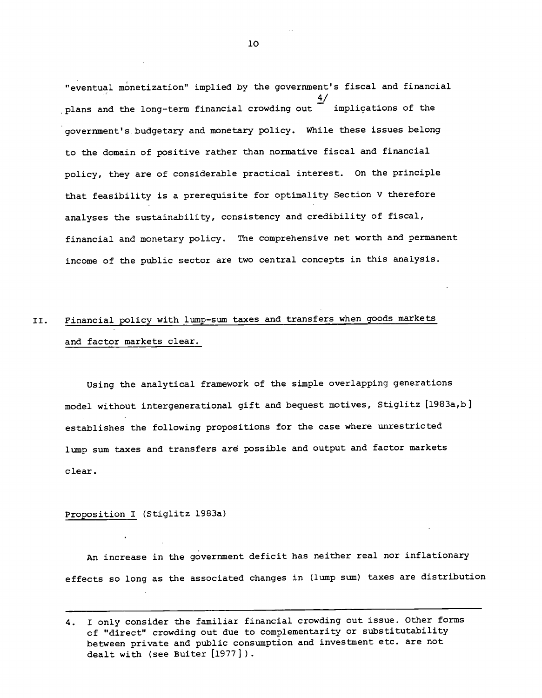"eventual monetization" implied by the government's fiscal and financial 4/ plans and the long-term financial crowding out — implications of the government's budgetary and monetary policy. While these issues belong to the domain of positive rather than normative fiscal and financial policy, they are of considerable practical interest. On the principle that feasibility is a prerequisite for optimality Section V therefore analyses the sustainability, consistency and credibility of fiscal, financial and monetary policy. The comprehensive net worth and permanent income of the public sector are two central concepts in this analysis.

# II. Financial policy with lump-sum taxes and transfers when goods markets and factor markets clear.

Using the analytical framework of the simple overlapping generations model without intergenerational gift and bequest motives, Stiglitz [1983a,b establishes the following propositions for the case where unrestricted lump sum taxes and transfers are possible and output and factor markets clear.

# Proposition I (Stiglitz 1983a)

An increase in the government deficit has neither real nor inflationary effects so long as the associated changes in (lump sum) taxes are distribution

<sup>4.</sup> I only consider the familiar financial crowding out issue. Other forms of "direct" crowding out due to complementarity or substitutability between private and public consumption and investment etc. are not dealt with (see Buiter [1977] ).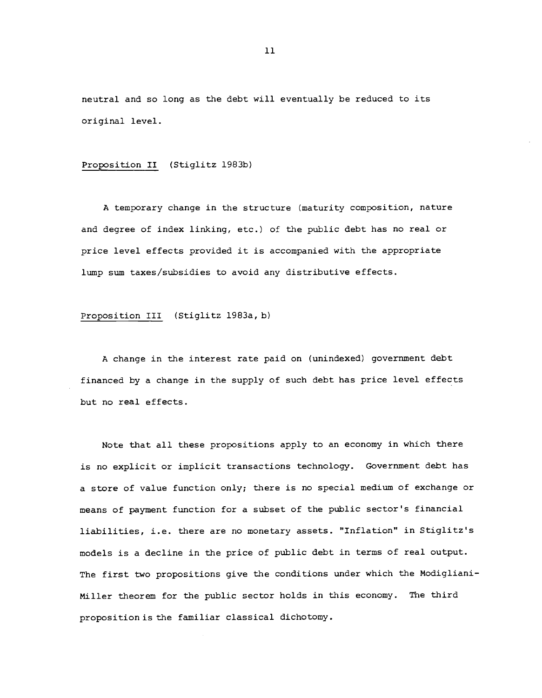neutral and so long as the debt will eventually be reduced to its original level.

# Proposition II (Stiglitz 1983b)

A temporary change in the structure (maturity composition, nature and degree of index linking, etc.) of the public debt has no real or price level effects provided it is accompanied with the appropriate lump sum taxes/subsidies to avoid any distributive effects.

# Proposition III (Stiglitz 1983a, b)

A change in the interest rate paid on (unindexed) government debt financed by a change in the supply of such debt has price level effects but no real effects.

Note that all these propositions apply to an economy in which there is no explicit or implicit transactions technology. Government debt has a store of value function only; there is no special medium of exchange or means of payment function for a subset of the public sector's financial liabilities, i.e. there are no monetary assets. "Inflation" in Stiglitz's models is a decline in the price of public debt in terms of real output. The first two propositions give the conditions under which the Modigliani-Miller theorem for the public sector holds in this economy. The third propositionis the familiar classical dichotomy.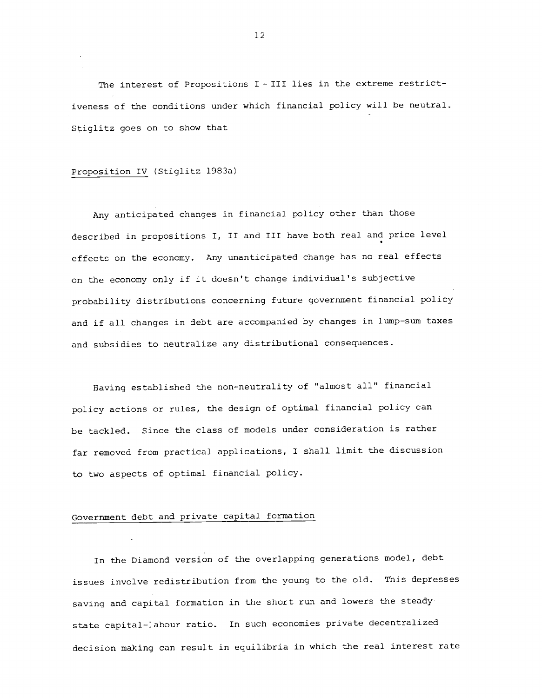The interest of Propositions I - III lies in the extreme restrictiveness of the conditions under which financial policy will be neutral. Stiglitz goes on to show that

## Proposition IV (Stiglitz 1983a)

Any anticipated changes in financial policy other than those described in propositions I, II and III have both real and price level effects on the economy. Any unanticipated change has no real effects on the economy only if it doesn't change individual's subjective probability distributions concerning future government financial policy and if all changes in debt are accompanied by changes in lump—sum taxes and subsidies to neutralize any distributional consequences.

Having established the non-neutrality of "almost all" financial policy actions or rules, the design of optimal financial policy can be tackled. Since the class of models under consideration is rather far removed from practical applications, I shall limit the discussion to two aspects of optimal financial policy.

### Government debt and private capital formation

In the Diamond version of the overlapping generations model, debt issues involve redistribution from the young to the old. This depresses saving and capital formation in the short run and lowers the steadystate capital-labour ratio. In such economies private decentralized decision making can result in equilibria in which the real interest rate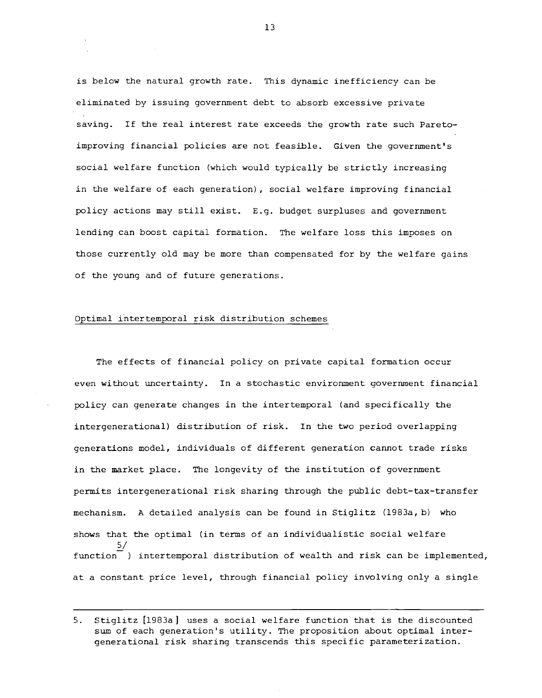is below the natural growth rate. This dynamic inefficiency can be eliminated by issuing government debt to absorb excessive private saving. If the real interest rate exceeds the growth rate such Pareto improving financial policies are not feasible. Given the government's social welfare function (which would typically be strictly increasing in the welfare of each generation), social welfare improving financial policy actions may still exist. E.g. budget surpluses and government lending can boost capital formation. The welfare loss this imposes on those currently old may be more than compensated for by the welfare gains of the young and of future generations.

## Optimal intertemporal risk distribution schemes

The effects of financial policy on private capital formation occur even without uncertainty. In a stochastic environment government financial policy can generate changes in the intertemporal (and specifically the intergenerational) distribution of risk. In the two period overlapping generations model, individuals of different generation cannot trade risks in the market place. The longevity of the institution of government permits intergenerational risk sharing through the public debt—tax-transfer mechanism. A detailed analysis can be found in Stiglitz (1983a, b) who shows that the optimal (in terms of an individualistic social welfare function<sup>-</sup>) intertemporal distribution of wealth and risk can be implemented, at a constant price level, through financial policy involving only a single

<sup>5.</sup> Stiglitz [1983a] uses a social welfare function that is the discounted sum of each generation's utility. The proposition about optimal intergenerational risk sharing transcends this specific parameterization.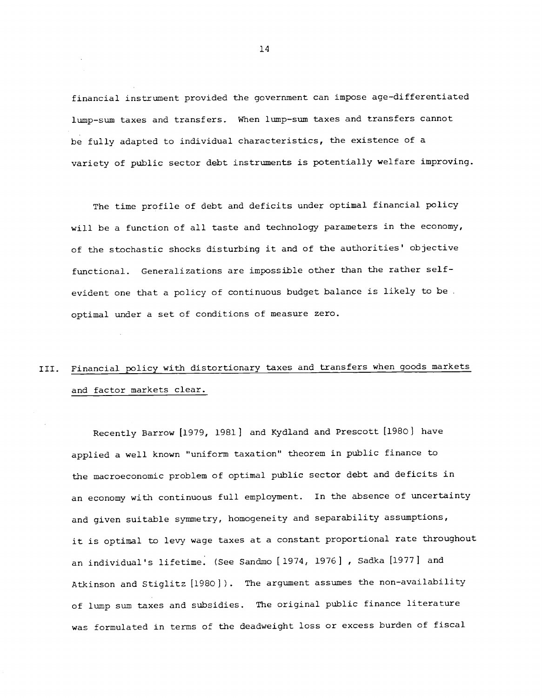financial instrument provided the government can impose age—differentiated lump—sum taxes and transfers. When lump—sum taxes and transfers cannot be fully adapted to individual characteristics, the existence of a variety of public sector debt instruments is potentially welfare improving.

The time profile of debt and deficits under optimal financial policy will be a function of all taste and technology parameters in the economy, of the stochastic shocks disturbing it and of the authorities' objective functional. Generalizations are impossible other than the rather self evident one that a policy of continuous budget balance is likely to be optimal under a set of conditions of measure zero.

# III. Financial policy with distortionary taxes and transfers when goods markets and factor markets clear.

Recently Barrow [1979, 1981] and Kydland and Prescott [1980] have applied a well known "uniform taxation" theorem in public finance to the macroeconomic problem of optimal public sector debt and deficits in an economy with continuous full employment. In the absence of uncertainty and given suitable symmetry, homogeneity and separability assumptions, it is optimal to levy wage taxes at a constant proportional rate throughout an individual's lifetime. (See Sandmo [1974, 1976] , Sadka [1977] and Atkinson and Stiglitz [1980]). The argument assumes the non-availability of lump sum taxes and subsidies. The original public finance literature was formulated in terms of the deadweight loss or excess burden of fiscal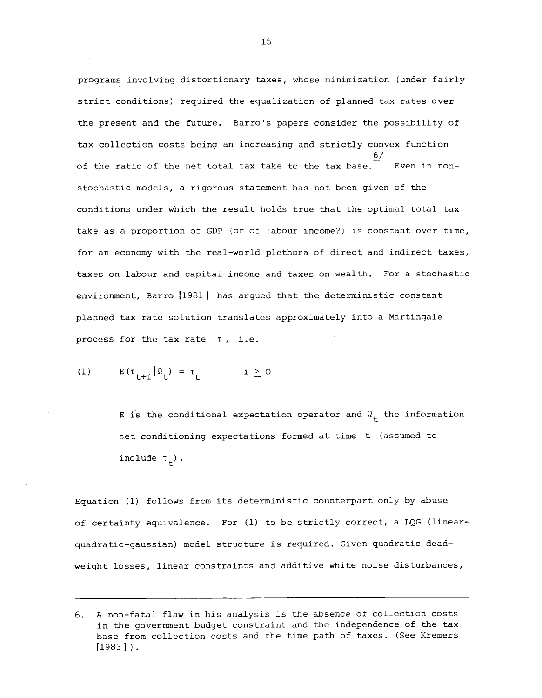programs involving distortionary taxes, whose minimization (under fairly strict conditions) required the equalization of planned tax rates over the present and the future. Barro's papers consider the possibility of tax collection costs being an increasing and strictly convex function  $6/$ of the ratio of the net total tax take to the tax base. Even in nonstochastic models, a rigorous statement has not been given of the conditions under which the result holds true that the optimal total tax take as a proportion of GDP (or of labour income?) is constant over time, for an economy with the real—world plethora of direct and indirect taxes, taxes on labour and capital income and taxes on wealth. For a stochastic environment, Barro [1981] has argued that the deterministic constant planned tax rate solution translates approximately into a Martingale process for the tax rate  $\tau$ , i.e.

(1) 
$$
E(\tau_{t+i}|\Omega_t) = \tau_t \qquad i \geq 0
$$

E is the conditional expectation operator and  $\Omega_{+}$  the information set conditioning expectations formed at time t (assumed to include  $\tau^{\,}_{\rm t}$ ).

Equation (1) follows from its deterministic counterpart only by abuse of certainty equivalence. For (1) to be strictly correct, a LQG (linear quadratic—gaussian) model structure is required. Given quadratic deadweight losses, linear constraints and additive white noise disturbances,

<sup>6.</sup> A non—fatal flaw in his analysis is the absence of collection costs in the government budget constraint and the independence of the tax base from collection costs and the time path of taxes. (See Kremers  $[1983]$ .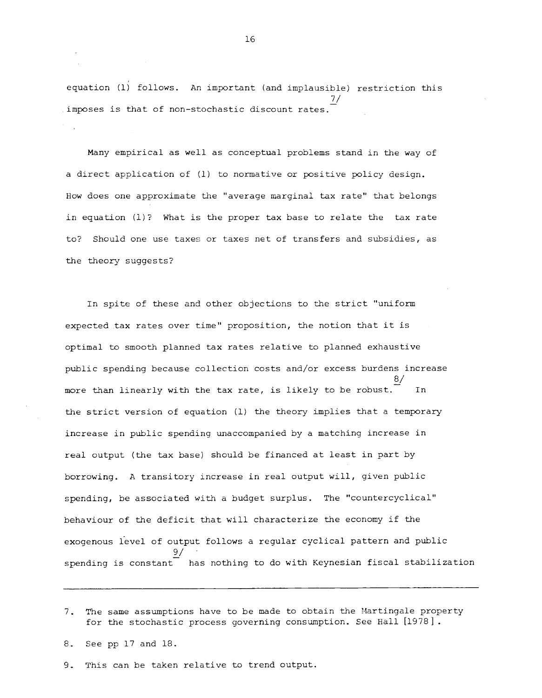equation (1) follows. An important (and implausible) restriction this 7/ imposes is that of non-stochastic discount rates.

Many empirical as well as conceptual problems stand in the way of a direct application of (1) to normative or positive policy design. How does one approximate the "average marginal tax rate" that belongs in equation (1)? What is the proper tax base to relate the tax rate to? Should one use taxes or taxes net of transfers and subsidies, as the theory suggests?

In spite of these and other objections to the strict "uniform expected tax rates over time" proposition, the notion that it is optimal to smooth planned tax rates relative to planned exhaustive public spending because collection costs and/or excess burdens increase 8/ more than linearly with the tax rate, is likely to be robust. the strict version of equation (1) the theory implies that a temporary increase in public spending unaccompanied by a matching increase in real output (the tax base) should be financed at least in part by borrowing. A transitory increase in real output will, given public spending, be associated with a budget surplus. The "countercyclical" behaviour of the deficit that will characterize the economy if the exogenous level of output follows a regular cyclical pattern and public  $9/$ spending is constant has nothing to do with Keynesian fiscal stabilization

9. This can be taken relative to trend output.

<sup>7.</sup> The same assumptions have to be made to obtain the Martingale property for the stochastic process governing consumption. See Hall [1978].

<sup>8.</sup> See pp 17 and 18.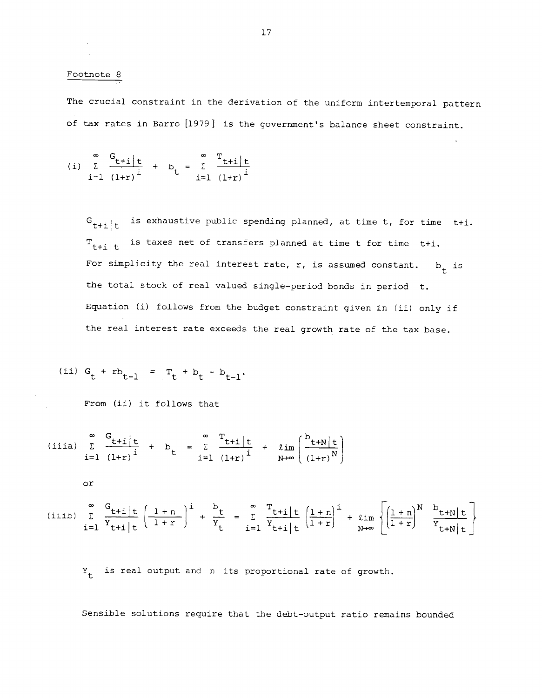#### Footnote 8

The crucial constraint in the derivation of the uniform intertemporal pattern of tax rates in Barro [1979] is the government's balance sheet constraint.

(i) 
$$
\sum_{i=1}^{\infty} \frac{G_{t+i}|t}{(1+r)^{i}}
$$
 +  $b_{t} = \sum_{i=1}^{\infty} \frac{T_{t+i}|t}{(1+r)^{i}}$ 

 $G_{t+1}|t$ is exhaustive public spending planned, at time t, for time t+i.  $T_{t+i}|t$  is taxes net of transfers planned at time t for time t+i. For simplicity the real interest rate, r, is assumed constant.  $b_t$  is the total stock of real valued single-period bonds in period t. Equation (i) follows from the budget constraint given in (ii) only if the real interest rate exceeds the real growth rate of the tax base.

(ii) 
$$
G_t + rb_{t-1} = T_t + b_t - b_{t-1}
$$
.

From (ii) it follows that

(iii) 
$$
\sum_{i=1}^{\infty} \frac{G_{t+i}|t}{(1+r)^{i}}
$$
 +  $b_{t} = \sum_{i=1}^{\infty} \frac{T_{t+i}|t}{(1+r)^{i}}$  +  $\lim_{N \to \infty} \left( \frac{b_{t+N}|t}{(1+r)^{N}} \right)$ 

$$
\circ r
$$

(iiib) 
$$
\sum_{i=1}^{\infty} \frac{G_{t+i|t}}{Y_{t+i|t}} \left(\frac{1+n}{1+r}\right)^{i} + \frac{b_{t}}{Y_{t}} = \sum_{i=1}^{\infty} \frac{T_{t+i|t}}{Y_{t+i|t}} \left(\frac{1+n}{1+r}\right)^{i} + \lim_{N \to \infty} \left\{\left(\frac{1+n}{1+r}\right)^{N} \frac{b_{t+N|t}}{Y_{t+N|t}}\right\}
$$

 $Y_{+}$  is real output and n its proportional rate of growth.

Sensible solutions require that the debt—output ratio remains bounded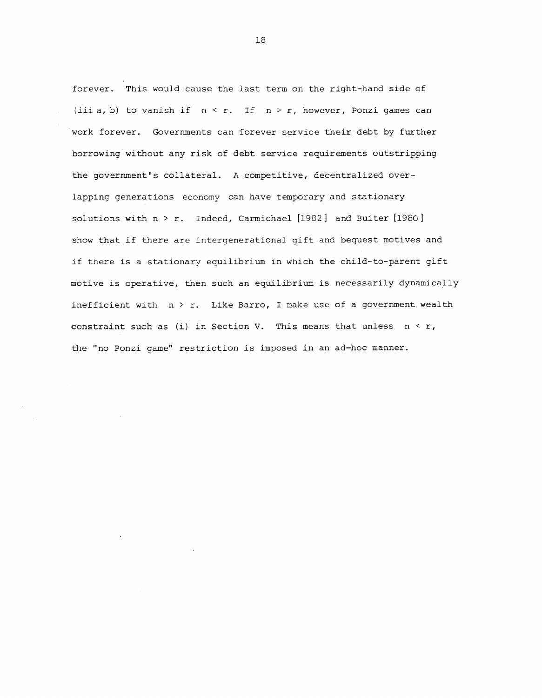forever. This would cause the last term on the right-hand side of (iii a, b) to vanish if  $n < r$ . If  $n > r$ , however, Ponzi games can work forever. Governments can forever service their debt by further borrowing without any risk of debt service requirements outstripping the government's collateral. A competitive, decentralized overlapping generations economy can have temporary and stationary solutions with  $n > r$ . Indeed, Carmichael [1982] and Buiter [1980] show that if there are intergenerational gift and bequest motives and if there is a stationary equilibrium in which the child-to-parent gift motive is operative, then such an equilibrium is necessarily dynamically inefficient with  $n > r$ . Like Barro, I make use of a government wealth constraint such as (i) in Section V. This means that unless  $n \leq r$ , the "no Ponzi game" restriction is imposed in an ad—hoc manner.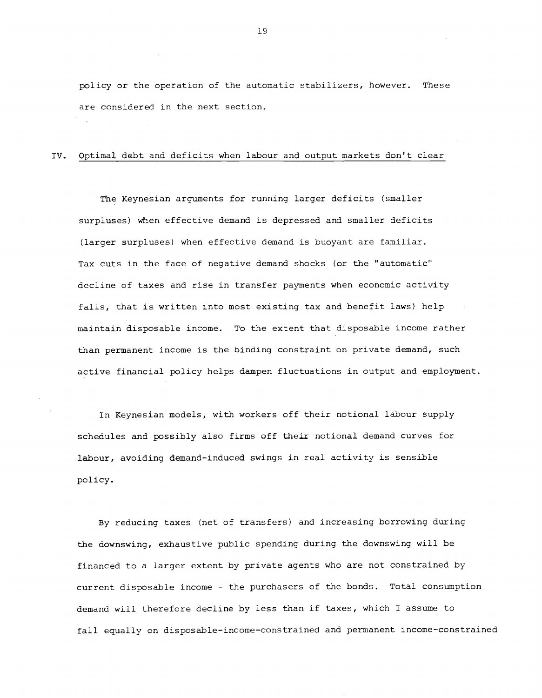policy or the operation of the automatic stabilizers, however. These are considered in the next section.

## IV. Optimal debt and deficits when labour and output markets don't clear

The Keynesian arguments for running larger deficits (smaller surpluses) when effective demand is depressed and smaller deficits (larger surpluses) when effective demand is buoyant are familiar. Tax cuts in the face of negative demand shocks (or the "automatic" decline of taxes and rise in transfer payments when economic activity falls, that is written into most existing tax and benefit laws) help maintain disposable income. To the extent that disposable income rather than permanent income is the binding constraint on private demand, such active financial policy helps dampen fluctuations in output and employment.

In Keynesian models, with workers off their notional labour supply schedules and possibly also firms off their notional demand curves for labour, avoiding demand-induced swings in real activity is sensible policy.

By reducing taxes (net of transfers) and increasing borrowing during the downswing, exhaustive public spending during the downswing will be financed to a larger extent by private agents who are not constrained by current disposable income — the purchasers of the bonds. Total consumption demand will therefore decline by less than if taxes, which I assume to fall equally on disposable-income—constrained and permanent income—constrained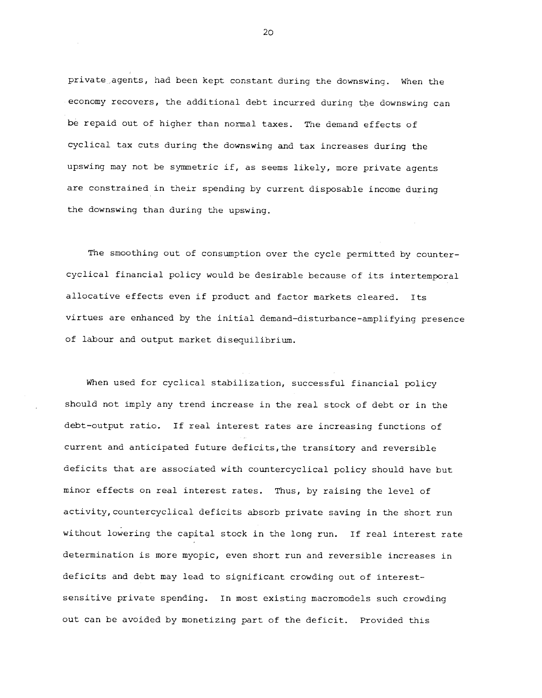private agents, had been kept constant during the downswing. When the economy recovers, the additional debt incurred during the downswing can be repaid out of higher than normal taxes. The demand effects of cyclical tax cuts during the downswing and tax increases during the upswing may not be symmetric if, as seems likely, more private agents are constrained in their spending by current disposable income during the downswing than during the upswing.

The smoothing out of consumption over the cycle permitted by countercyclical financial policy would be desirable because of its intertemporal allocative effects even if product and factor markets cleared. Its virtues are enhanced by the initial demand—disturbance-amplifying presence of labour and output market disequilibrium.

when used for cyclical stabilization, successful financial policy should not imply any trend increase in the real stock of debt or in the debt—output ratio. If real interest rates are increasing functions of current and anticipated future deficits, the transitory and reversible deficits that are associated with countercyclical policy should have but minor effects on real interest rates. Thus, by raising the level of activity, countercyclical deficits absorb private saving in the short run without lowering the capital stock in the long run. If real interest rate determination is more myopic, even short run and reversible increases in deficits and debt may lead to significant crowding out of interestsensitive private spending. In most existing macromodels such crowding out can be avoided by monetizing part of the deficit. Provided this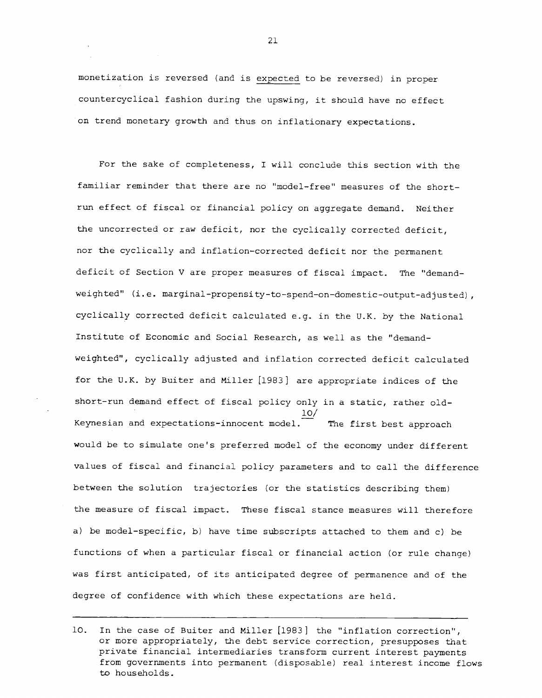monetization is reversed (and is expected to be reversed) in proper countercyclical fashion during the upswing, it should have no effect on trend monetary growth and thus on inflationary expectations.

For the sake of completeness, I will conclude this section with the familiar reminder that there are no "model—free' measures of the short run effect of fiscal or financial policy on aggregate demand. Neither the uncorrected or raw deficit, nor the cyclically corrected deficit, nor the cyclically and inflation—corrected deficit nor the permanent deficit of Section V are proper measures of fiscal impact. The "demandweighted" (i.e. marginal-propensity-to-spend-on-domestic-output-adjusted), cyclically corrected deficit calculated e.g. in the U.K. by the National Institute of Economic and Social Research, as well as the "demandweighted", cyclically adjusted and inflation corrected deficit calculated for the U.K. by Buiter and Miller [1983] are appropriate indices of the short-run demand effect of fiscal policy only in a static, rather old-10/ Keynesian and expectations—innocent model. The first best approach would be to simulate one's preferred model of the economy under different values of fiscal and financial policy parameters and to call the difference between the solution trajectories (or the statistics describing them) the measure of fiscal impact. These fiscal stance measures will therefore a) be model—specific, b) have time subscripts attached to them and c) be functions of when a particular fiscal or financial action (or rule change) was first anticipated, of its anticipated degree of permanence and of the degree of confidence with which these expectations are held.

<sup>10.</sup> In the case of Buiter and Miller [1983] the "inflation correction", or more appropriately, the debt service correction, presupposes that private financial intermediaries transform current interest payments from governments into permanent (disposable) real interest income flows to households.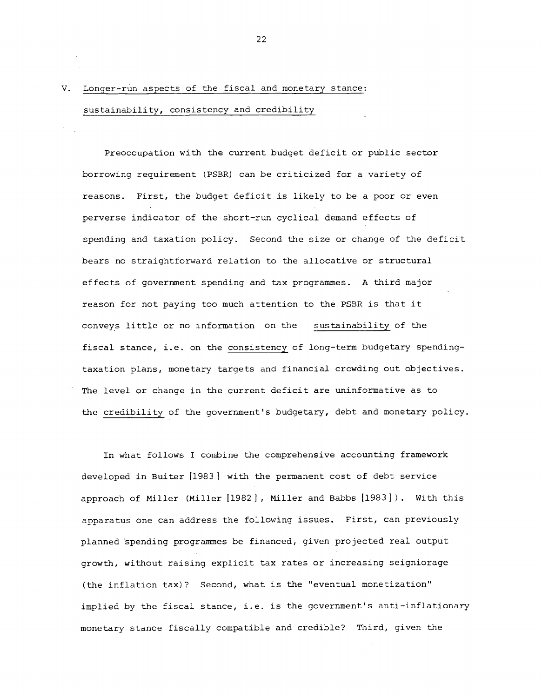# V. Longer-run aspects of the fiscal and monetary stance: sustainability, consistency and credibility

Preoccupation with the current budget deficit or public sector borrowing requirement (PSBR) can be criticized for a variety of reasons. First, the budget deficit is likely to be a poor or even perverse indicator of the short—run cyclical demand effects of spending and taxation policy. Second the size or change of the deficit bears no straightforward relation to the allocative or structural effects of government spending and tax programmes. A third major reason for not paying too much attention to the PSBR is that it conveys little or no information on the sustainability of the fiscal stance, i.e. on the consistency of long—term budgetary spending taxation plans, monetary targets and financial crowding out objectives. The level or change in the current deficit are uninformative as to the credibility of the government's budgetary, debt and monetary policy.

In what follows I combine the comprehensive accounting framework developed in Buiter [1983] with the permanent cost of debt service approach of Miller (Miller [1982], Miller and Babbs [1983]). With this apparatus one can address the following issues. First, can previously planned spending programmes be financed, given projected real output growth, without raising explicit tax rates or increasing seigniorage (the inflation tax)? Second, what is the "eventual monetization" implied by the fiscal stance, i.e. is the government's anti-inflationary monetary stance fiscally compatible and credible? Third, given the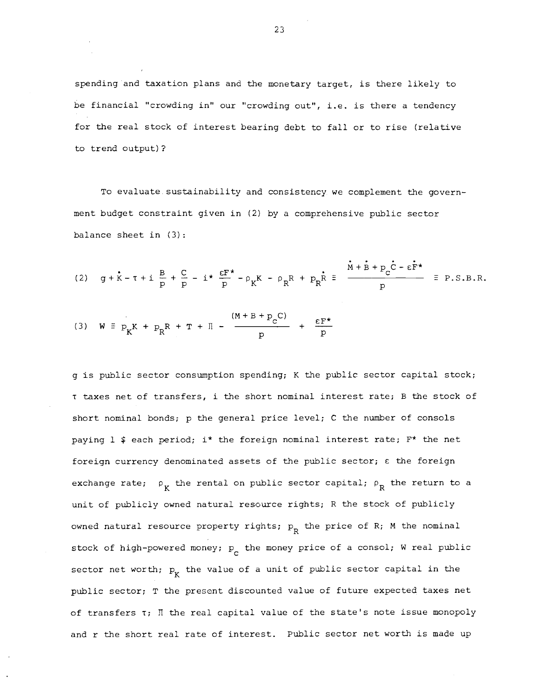spending and taxation plans and the monetary target, is there likely to be financial "crowding in" our "crowding out", i.e. is there a tendency for the real stock of interest bearing debt to fall or to rise (relative to trend output)?

To evaluate.sustainability and consistency we complement the government budget constraint given in (2) by a comprehensive public sector balance sheet in (3):

(2) 
$$
g + \dot{x} - \tau + i \frac{B}{p} + \frac{C}{p} - i \star \frac{\epsilon F^*}{p} - \rho_K K - \rho_R R + p_R \dot{R} = \frac{\dot{M} + \dot{B} + p_C \dot{C} - \epsilon \dot{F}^*}{p} = P.S.B.R.
$$

(3) 
$$
W = p_K K + p_R R + T + \Pi - \frac{(M + B + p_C C)}{p} + \frac{\varepsilon F^*}{p}
$$

g is public sector consumption spending; K the public sector capital stock; <sup>T</sup> taxes net of transfers, i the short nominal interest rate; B the stock of short nominal bonds; p the general price level; C the number of consols paying  $1$  \$ each period; i\* the foreign nominal interest rate;  $F*$  the net foreign currency denominated assets of the public sector; c the foreign exchange rate;  $\rho_{K}$  the rental on public sector capital;  $\rho_{R}$  the return to a unit of publicly owned natural resource rights; R the stock of publicly owned natural resource property rights;  $p_p$  the price of R; M the nominal stock of high-powered money;  $p_{n}$  the money price of a consol; W real public sector net worth;  $p_{\nu}$  the value of a unit of public sector capital in the public sector; T the present discounted value of future expected taxes net of transfers T; II the real capital value of the state's note issue monopoly and r the short real rate of interest, Public sector net worth is made up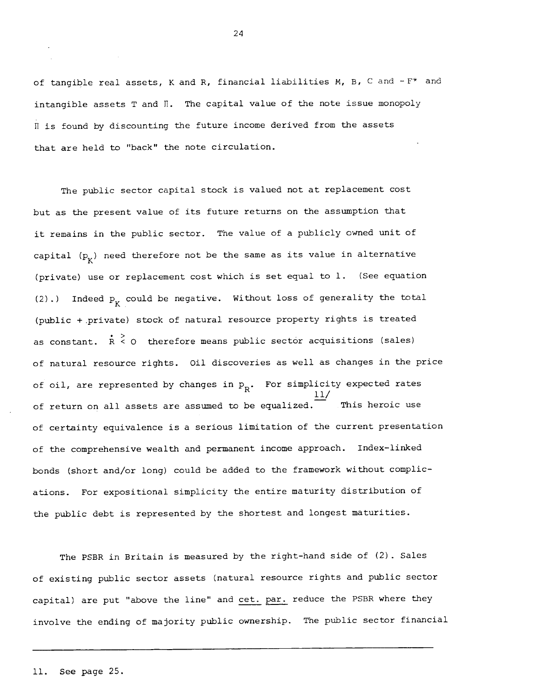of tangible real assets, K and R, financial liabilities M, B, C and  $-F^*$  and intangible assets T and  $\Pi$ . The capital value of the note issue monopoly Il is found by discounting the future income derived from the assets that are held to "back" the note circulation.

The public sector capital stock is valued not at replacement cost but as the present value of its future returns on the assumption that it remains in the public sector. The value of a publicly owned unit of capital  $(p_K^-)$  need therefore not be the same as its value in alternative (private) use or replacement cost which is set equal to 1. (See equation (2).) Indeed  $p_{K}$  could be negative. Without loss of generality the total (public + .private) stock of natural resource property rights is treated as constant.  $R < 0$  therefore means public sector acquisitions (sales) of natural resource rights. Oil discoveries as well as changes in the price of oil, are represented by changes in  $p_p$ . For simplicity expected rates 11/ of return on all assets are assumed to be equalized. This heroic use of certainty equivalence is a serious limitation of the current presentation of the comprehensive wealth and permanent income approach. Index-linked bonds (short and/or long) could be added to the framework without complications. For expositional simplicity the entire maturity distribution of the public debt is represented by the shortest and longest maturities.

The PSBR in Britain is measured by the right-hand side of (2). Sales of existing public sector assets (natural resource rights and public sector capital) are put "above the line" and cet. par. reduce the PSBR where they involve the ending of majority public ownership. The public sector financial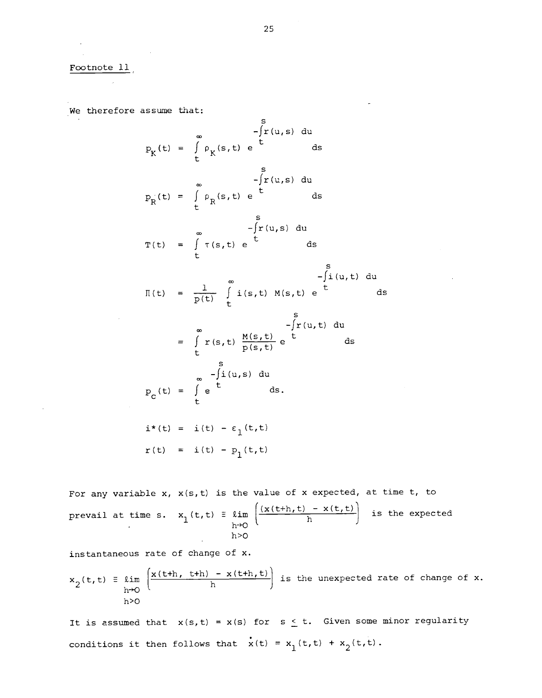Footnote 11

We therefore assume that;

$$
P_{K}(t) = \int_{t}^{\infty} \rho_{K}(s, t) e^{t} ds
$$
\n
$$
P_{R}(t) = \int_{t}^{\infty} \rho_{R}(s, t) e^{t} ds
$$
\n
$$
P_{R}(t) = \int_{t}^{\infty} \rho_{R}(s, t) e^{t} ds
$$
\n
$$
T(t) = \int_{t}^{\infty} T(s, t) e^{t} ds
$$
\n
$$
T(t) = \int_{t}^{\infty} T(s, t) e^{t} ds
$$
\n
$$
T(t) = \frac{1}{p(t)} \int_{t}^{\infty} i(s, t) M(s, t) e^{t} ds
$$
\n
$$
= \int_{t}^{\infty} T(s, t) \frac{M(s, t)}{p(s, t)} e^{t} ds
$$
\n
$$
= \int_{t}^{\infty} T(s, t) \frac{M(s, t)}{p(s, t)} e^{t} ds
$$
\n
$$
P_{C}(t) = \int_{t}^{\infty} e^{t} ds.
$$
\n
$$
i^{*}(t) = i(t) - \epsilon_{1}(t, t)
$$
\n
$$
T(t) = i(t) - p_{1}(t, t)
$$

For any variable  $x$ ,  $x(s,t)$  is the value of  $x$  expected, at time  $t$ , to prevail at time s.  $x_1(t,t) = \lim_{h\to 0} \left( \frac{(x(t+h,t) - x(t,t))}{h} \right)$  is the expected h>O

instantaneous rate of change of x.

$$
x_2(t,t) \equiv \lim_{h \to 0} \left( \frac{x(t+h, t+h) - x(t+h, t)}{h} \right) \text{ is the unexpected rate of change of } x.
$$

 $\sim$ 

It is assumed that  $x(s,t) = x(s)$  for  $s \le t$ . Given some minor regularity conditions it then follows that  $\dot{x}(t) = x_1(t,t) + x_2(t,t)$ .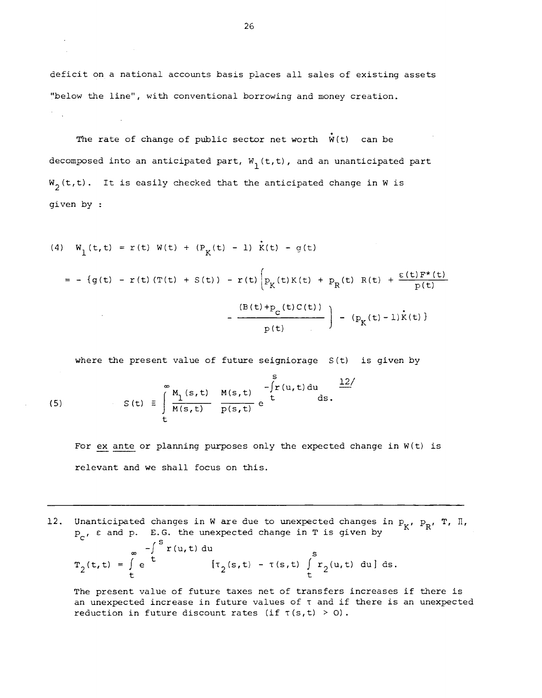deficit on a national accounts basis places all sales of existing assets "below the line", with conventional borrowing and money creation.

The rate of change of public sector net worth  $\dot{W}(t)$  can be decomposed into an anticipated part,  $W_1(t,t)$ , and an unanticipated part  $W_2(t,t)$ . It is easily checked that the anticipated change in W is given by

(4) 
$$
W_1(t,t) = r(t) W(t) + (P_K(t) - 1) \dot{x}(t) - g(t)
$$
  
\n
$$
= -\{g(t) - r(t) (T(t) + S(t)) - r(t) \left[ P_K(t) K(t) + P_K(t) R(t) + \frac{\varepsilon(t) F^*(t)}{p(t)} - \frac{(B(t) + p_c(t) C(t))}{p(t)} \right] - (P_K(t) - 1) \dot{x}(t)
$$

where the present value of future seigniorage S(t) is given by

(5) 
$$
S(t) = \int_{t}^{\infty} \frac{M_1(s,t)}{M(s,t)} \frac{M(s,t)}{p(s,t)} e^{-\int_{t}^{S} I(u,t) du} ds.
$$

For ex ante or planning purposes only the expected change in W(t) is relevant and we shall focus on this.

12. Unanticipated changes in W are due to unexpected changes in  $P_K$ ,  $P_R$ , T, II,  $P_C$ ,  $\varepsilon$  and  $p$ . E.G. the unexpected change in T is given by

$$
\pi_2(t,t) = \int\limits_t^{\infty} e^{-\int\limits_t^t r(u,t) du} \left[ \tau_2(s,t) - \tau(s,t) \int\limits_t^s r_2(u,t) du \right] ds.
$$

The present value of future taxes net of transfers increases if there is an unexpected increase in future values of T and if there is an unexpected reduction in future discount rates (if  $\tau(s,t) > 0$ ).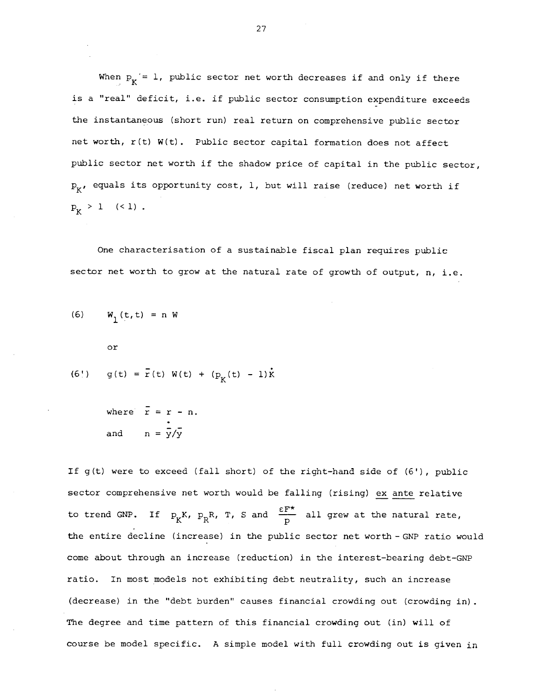When  $p_{K} = 1$ , public sector net worth decreases if and only if there is a "real" deficit, i.e. if public sector consumption expenditure exceeds the instantaneous (short run) real return on comprehensive public sector net worth, r(t) W(t). Public sector capital formation does not affect public sector net worth if the shadow price of capital in the public sector,  $P_K$ , equals its opportunity cost, 1, but will raise (reduce) net worth if  $p_{K} > 1$  (< 1).

One characterisation of a sustainable fiscal plan requires public sector net worth to grow at the natural rate of growth of output, n, i.e.

(6) 
$$
W_1(t, t) = n W
$$
  
or

(6!) 
$$
g(t) = \bar{r}(t) W(t) + (p_K(t) - 1)\dot{k}
$$

where  $\bar{r} = r - n$ . and  $n=\frac{1}{V/V}$ 

If g(t) were to exceed (fall short) of the right—hand side of (6'), public sector comprehensive net worth would be falling (rising) ex ante relative to trend GNP. If  $P_K K$ ,  $P_R R$ , T, S and  $\frac{\varepsilon F^*}{p}$  all grew at the natural rate, the entire decline (increase) in the public sector net worth-GNP ratio would come about through an increase (reduction) in the interest—bearing debt—GNP ratio. In most models not exhibiting debt neutrality, such an increase (decrease) in the "debt burden" causes financial crowding out (crowding in). The degree and time pattern of this financial crowding out (in) will of course be model specific. A simple model with full crowding out is given in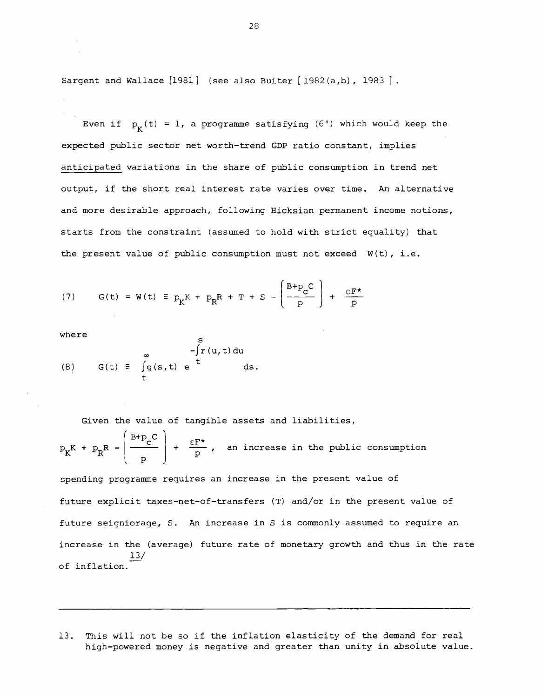Sargent and Wallace [1981] (see also Buiter [1982(a,b), 1983].

Even if  $p_{\mathbf{r}}(t) = 1$ , a programme satisfying (6') which would keep the expected public sector net worth-trend GDP ratio constant, implies anticipated variations in the share of public consumption in trend net output, if the short real interest rate varies over time. An alternative and more desirable approach, following Hicksian permanent income notions, starts from the constraint (assumed to hold with strict equality) that the present value of public consumption must not exceed  $W(t)$ , i.e.

(7) 
$$
G(t) = W(t) \equiv p_K K + p_R R + T + S - \left(\frac{B + p_C C}{p}\right) + \frac{\varepsilon F^*}{p}
$$

 $\mathbf{s}$ 

where

(8) 
$$
G(t) = \int_{t}^{\infty} g(s,t) e^{t} ds
$$
.

Given the value of tangible assets and liabilities,

$$
p_K K + p_R R - \left(\frac{B + p_C C}{p}\right) + \frac{\varepsilon F^{\star}}{p}, \text{ an increase in the public consumption}
$$

spending programme requires an increase in the present value of future explicit taxes—net—of—transfers (T) and/or in the present value of future seigniorage, S. An increase in S is commonly assumed to require an increase in the (average) future rate of monetary growth and thus in the rate 13/ of inflation.

13. This will not be so if the inflation elasticity of the demand for real high—powered money is negative and greater than unity in absolute value.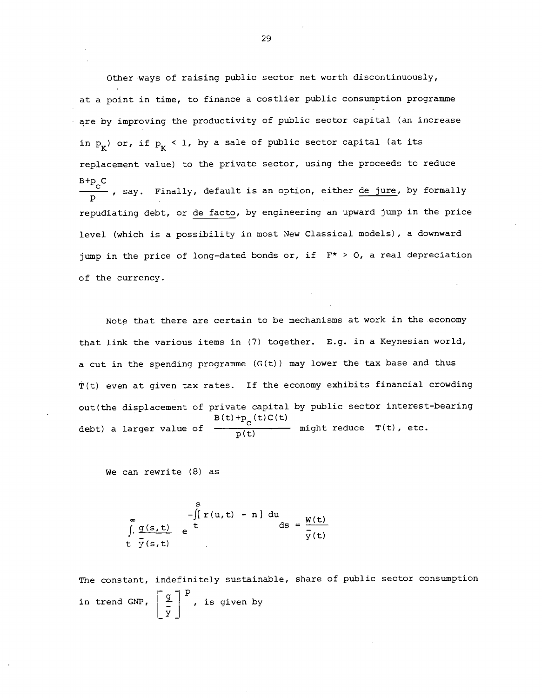Other ways of raising public sector net worth discontinuously, at a point in time, to finance a costlier public consumption programme are by improving the productivity of public sector capital (an increase in  $p_{K}$ ) or, if  $p_{K}$  < 1, by a sale of public sector capital (at its replacement value) to the private sector, using the proceeds to reduce  $B + p C$ say. Finally, default is an option, either <u>de jure</u>, by formally repudiating debt, or de facto, by engineering an upward jump in the price level (which is a possibility in most New Classical models), a downward jump in the price of long-dated bonds or, if  $F* > 0$ , a real depreciation of the currency.

Note that there are certain to be mechanisms at work in the economy that link the various items in (7) together. E.g. in a Keynesian world, a cut in the spending programme (G(t)) may lower the tax base and thus T(t) even at given tax rates. If the economy exhibits financial crowding out(the displacement of private capital by public sector interest—bearing debt) a larger value of  $\frac{B(t)+p_c(t)C(t)}{p(t)}$  might reduce  $T(t)$ , etc.

We can rewrite (8) as

$$
\int_{\frac{\pi}{2}}^{\infty} \frac{g(s,t)}{\frac{\pi}{2}(s,t)} e^{\frac{\pi}{2}(t-t)} \frac{1}{s} \, ds = \frac{w(t)}{\frac{\pi}{2}(t)}
$$

The constant, indefinitely sustainable, share of public sector consumption in trend GNP,  $\left[\begin{array}{c} g \\ - \end{array}\right]^{\mathsf{P}}$ , is given by y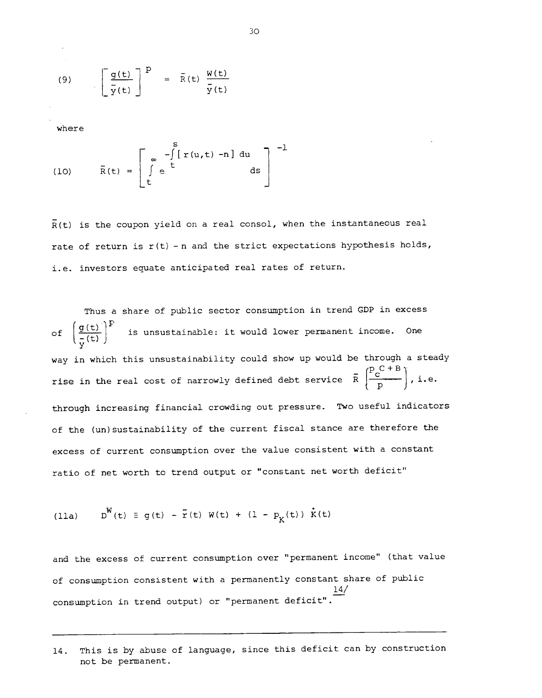(9) 
$$
\left[\frac{g(t)}{\bar{y}(t)}\right]^{P} = \bar{R}(t) \frac{W(t)}{\bar{y}(t)}
$$

where

(10) 
$$
\bar{R}(t) = \begin{bmatrix} \int_{0}^{S} r(u,t) - n \, du \\ \int_{0}^{S} e^{-\int_{0}^{t} [r(u,t) - n] \, du} \, ds \end{bmatrix}^{-1}
$$

 $R(t)$  is the coupon yield on a real consol, when the instantaneous real rate of return is  $r(t)$  - n and the strict expectations hypothesis holds, i.e. investors equate anticipated real rates of return.

Thus a share of public sector consumption in trend GDP in excess of  $\left(\frac{g(t)}{\overline{v}(t)}\right)^r$  is unsustainable: it would lower permanent income. One way in which this unsustainability could show up would be through a steady  $\binom{p_{c}C+B}{C}$ rise in the real cost of narrowly defined debt service  $\bar{R}$   $\left|\frac{F_C - F}{n}\right|$ , i.e. through increasing financial crowding out pressure. Two useful indicators of the (un)sustainability of the current fiscal stance are therefore the excess of current consumption over the value consistent with a constant ratio of net worth to trend output or "constant net worth deficit"

(11a) 
$$
D^{W}(t) \equiv g(t) - \tilde{r}(t) W(t) + (1 - p_{K}(t)) \dot{K}(t)
$$

and the excess of current consumption over "permanent income" (that value of consumption consistent with a permanently constant share of public 14/ consumption in trend output) or "permanent deficit".

<sup>14.</sup> This is by abuse of language, since this deficit can by construction not be permanent.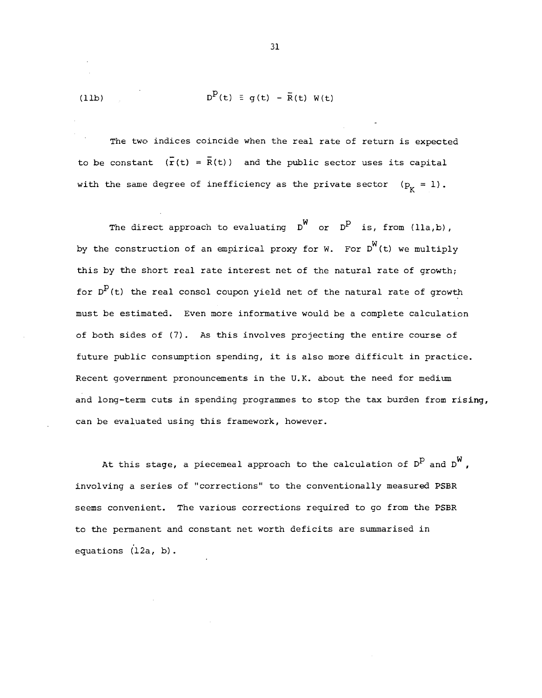(11b)  $D^{P}(t) \equiv q(t) - \overline{R}(t) W(t)$ 

The two indices coincide when the real rate of return is expected to be constant  $(\bar{r}(t) = \bar{R}(t))$  and the public sector uses its capital with the same degree of inefficiency as the private sector  $(p_v = 1)$ .

The direct approach to evaluating  $D^{W}$  or  $D^{P}$  is, from (lla,b), by the construction of an empirical proxy for W. For  $D^W(t)$  we multiply this by the short real rate interest net of the natural rate of growth; for  $D^D(t)$  the real consol coupon yield net of the natural rate of growth must be estimated. Even more informative would be a complete calculation of both sides of (7). As this involves projecting the entire course of future public consumption spending, it is also more difficult in practice. Recent government pronouncements in the U.K. about the need for medium and long-term cuts in spending programmes to stop the tax burden from rising, can be evaluated using this framework, however.

At this stage, a piecemeal approach to the calculation of  $D^P$  and  $D^W$ , involving a series of "corrections" to the conventionally measured PSBR seems convenient. The various corrections required to go from the PSBR to the permanent and constant net worth deficits are summarised in equations (12a, b).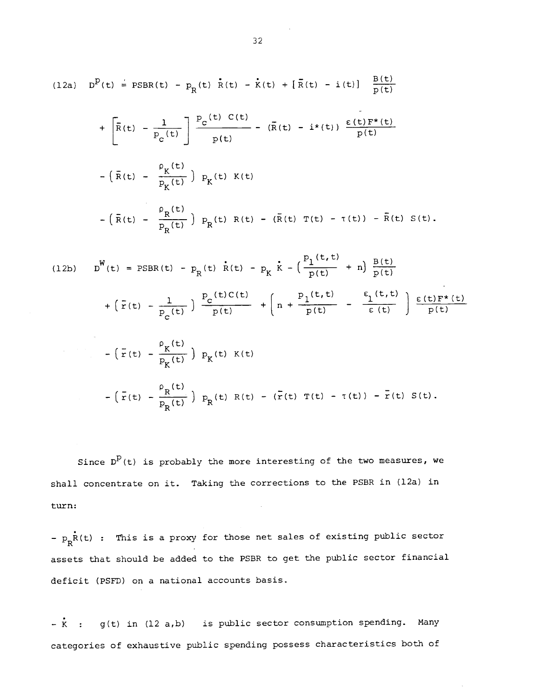(12a) 
$$
D^{P}(t) = PSBR(t) - P_{R}(t) \hat{R}(t) - \hat{K}(t) + [\bar{R}(t) - i(t)] \frac{B(t)}{p(t)}
$$
  
+  $[\bar{R}(t) - \frac{1}{P_{C}(t)}] \frac{P_{C}(t) C(t)}{p(t)} - (\bar{R}(t) - i^{*}(t)) \frac{\epsilon(t) F^{*}(t)}{p(t)}$   
-  $(\bar{R}(t) - \frac{\rho_{K}(t)}{P_{K}(t)}) P_{K}(t) K(t)$   
-  $(\bar{R}(t) - \frac{\rho_{R}(t)}{P_{D}(t)}) P_{R}(t) R(t) - (\bar{R}(t) T(t) - \tau(t)) - \bar{R}(t) S(t)$ .

(12b) 
$$
D^W(t) = PSBR(t) - p_R(t) \dot{R}(t) - p_K \dot{k} - \left(\frac{p_1(t,t)}{p(t)} + n\right) \frac{B(t)}{p(t)}
$$
  
+  $\left(\bar{r}(t) - \frac{1}{p_C(t)}\right) \frac{P_C(t)C(t)}{p(t)} + \left(n + \frac{p_1(t,t)}{p(t)} - \frac{\epsilon_1(t,t)}{\epsilon(t)}\right) \frac{\epsilon(t)F^*(t)}{p(t)}$   
-  $\left(\bar{r}(t) - \frac{\rho_K(t)}{p_K(t)}\right) p_K(t) K(t)$   
-  $\left(\bar{r}(t) - \frac{\rho_R(t)}{p_R(t)}\right) p_R(t) R(t) - \left(\bar{r}(t) T(t) - T(t)\right) - \bar{r}(t) S(t)$ .

Since  $D^D(t)$  is probably the more interesting of the two measures, we shall concentrate on it. Taking the corrections to the PSBR in (12a) in turn:

-  $p_R^{\dagger}f(t)$  : This is a proxy for those net sales of existing public sector assets that should be added to the PSER to get the public sector financial deficit (PSFD) on a national accounts basis.

 $-\dot{k}$  : g(t) in (12 a,b) is public sector consumption spending. Many categories of exhaustive public spending possess characteristics both of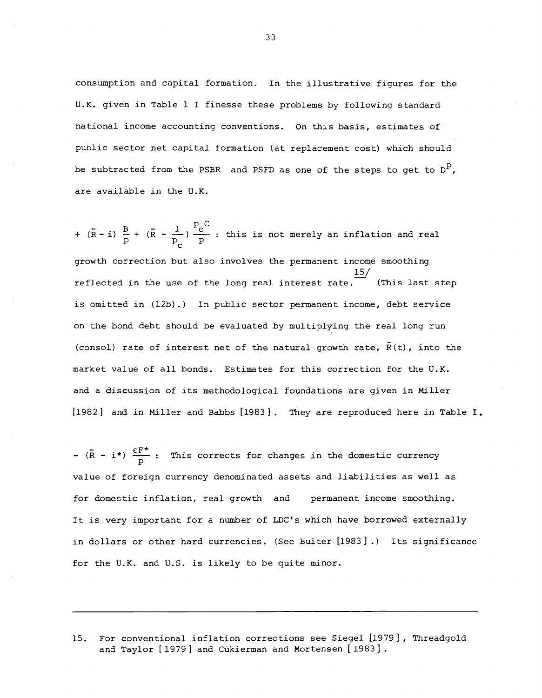consumption and capital formation. In the illustrative figures for the U.K. given in Table 1 I finesse these problems by following standard national income accounting conventions. On this basis, estimates of public sector net capital formation (at replacement cost) which should be subtracted from the PSBR and PSFD as one of the steps to get to  $D^P$ , are available in the U.K.

 $B = \sqrt{p}$   $\int_{0}^{D}$  pc this is not +  $(\bar{R} - i)$   $\frac{B}{p}$  +  $(\bar{R} - \frac{1}{p_c})$   $\frac{P_c}{p}$  : this is not merely an inflation and real growth correction but also involves the permanent income smoothing 15/ reflected in the use of the long real interest rate. (This last step is omitted in (l2b).) In public sector permanent income, debt service on the bond debt should be evaluated by multiplying the real long run (consol) rate of interest net of the natural growth rate,  $\bar{R}(t)$ , into the market value of all bonds. Estimates for this correction for the U.K. and a discussion of its methodological foundations are given in Miller [1982] and in Miller and Babbs [1983] . They are reproduced here in Table I,

-  $(\bar{R} - i^*)$   $\frac{\epsilon F^*}{D}$ : This corrects for changes in the domestic currency value of foreign currency denominated assets and liabilities as well as for domestic inflation, real growth and permanent income smoothing. It is very important for a number of LDC's which have borrowed externally in dollars or other hard currencies. (See Buiter [1983] .) Its significance for the U.K. and U.S. is likely to be quite minor.

15. For conventional inflation corrections see Siegel [1979] , Threadgold and Taylor [1979] and Cukierman and Mortensen [1983].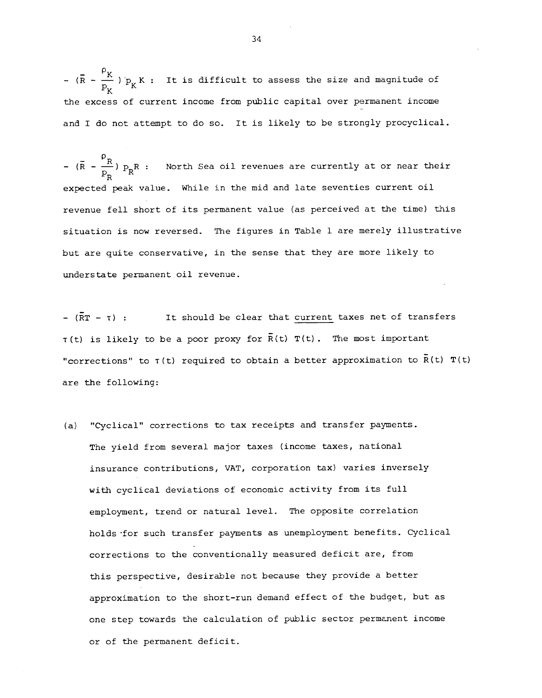-  $(R - \frac{p}{p_x}) p_K$  : It is difficult to assess the size and magnitude of the excess of current income from public capital over permanent income and I do not attempt to do so. It is likely to be strongly procyclical.

-  $(\bar{R} - \frac{p_R}{p_R}) p_R R$  : North Sea oil revenues are currently at or near their expected peak value. While in the mid and late seventies current oil revenue fell short of its permanent value (as perceived at the time) this situation is now reversed. The figures in Table 1 are merely illustrative but are quite conservative, in the sense that they are more likely to understate permanent oil revenue.

 $(\overline{R}T - \tau)$ : It should be clear that current taxes net of transfers  $\tau(t)$  is likely to be a poor proxy for  $\bar{R}(t)$   $T(t)$ . The most important "corrections" to  $\tau(t)$  required to obtain a better approximation to  $\bar{R}(t)$  T(t) are the following:

(a) "Cyclical" corrections to tax receipts and transfer payments. The yield from several major taxes (income taxes, national insurance contributions, VAT, corporation tax) varies inversely with cyclical deviations of economic activity from its full employment, trend or natural level. The opposite correlation holds for such transfer payments as unemployment benefits. Cyclical corrections to the conventionally measured deficit are, from this perspective, desirable not because they provide a better approximation to the short—run demand effect of the budget, but as one step towards the calculation of public sector permanent income or of the permanent deficit.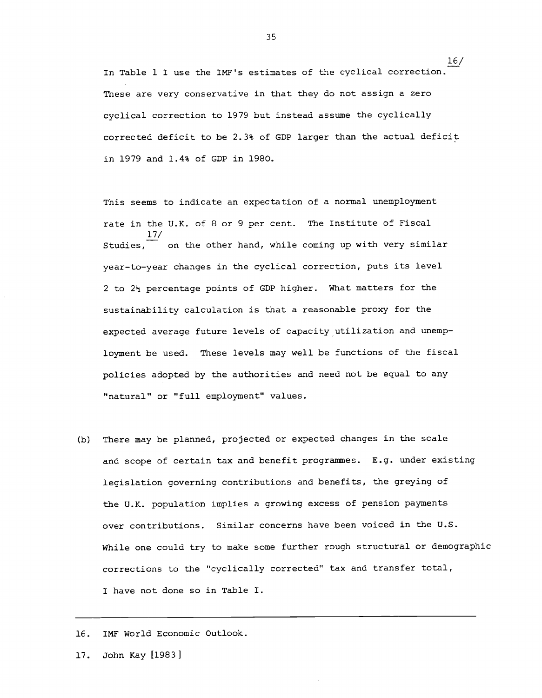In Table 1 I use the IMP's estimates of the cyclical correction. These are very conservative in that they do not assign a zero cyclical correction to 1979 but instead assume the cyclically corrected deficit to be 2.3% of GDP larger than the actual deficit in 1979 and 1.4% of GDP in 1980.

16/

This seems to indicate an expectation of a normal unemployment rate in the U.K. of 8 or 9 per cent. The Institute of Fiscal 17/ Studies, on the other hand, while coming up with very similar year—to—year changes in the cyclical correction, puts its level 2 to  $2\frac{1}{2}$  percentage points of GDP higher. What matters for the sustainability calculation is that a reasonable proxy for the expected average future levels of capacity utilization and unemployment be used. These levels may well be functions of the fiscal policies adopted by the authorities and need not be equal to any "natural" or "full employment" values.

(b) There may be planned, projected or expected changes in the scale and scope of certain tax and benefit programmes. E.g. under existing legislation governing contributions and benefits, the greying of the U.K. population implies a growing excess of pension payments over contributions. Similar concerns have been voiced in the U.S. While one could try to make some further rough structural or demographic corrections to the "cyclically corrected" tax and transfer total, I have not done so in Table I.

16. IMP World Economic Outlook.

17. John Kay [1983]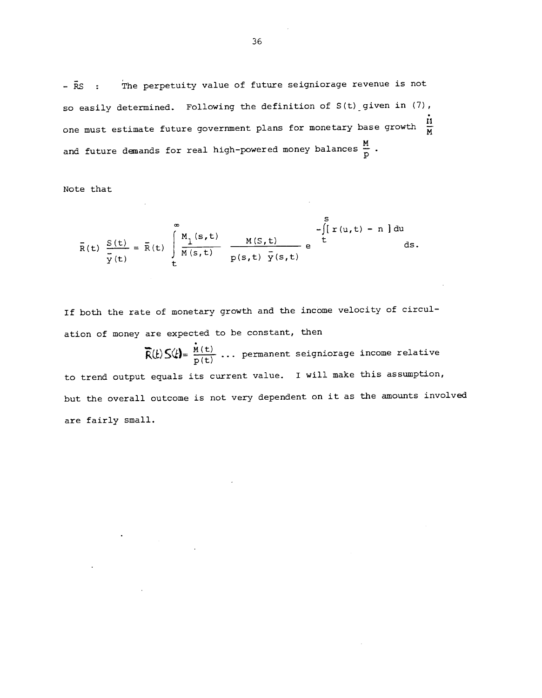$\bar{R}S$  :  $\bar{R}$  The perpetuity value of future seigniorage revenue is not so easily determined. Following the definition of S(t) given in (7), one must estimate future government plans for monetary base growth  $\frac{H}{M}$ and future demands for real high-powered money balances  $\frac{M}{p}$  .

Note that

$$
\bar{R}(t) \frac{S(t)}{\bar{y}(t)} = \bar{R}(t) \int_{t}^{\infty} \frac{M_1(s,t)}{M(s,t)} \frac{M(S,t)}{p(s,t) y(s,t)} e^{\int_{t}^{S} [r(u,t) - n] du} ds.
$$

If both the rate of monetary growth and the income velocity of circulation of money are expected to be constant, then

 $\vec{R}(t) S(t) = \frac{\dot{M}(t)}{p(t)} ...$  permanent seigniorage income relative to trend output equals its current value. I will make this assumption, but the overall outcome is not very dependent on it as the amounts involved are fairly small.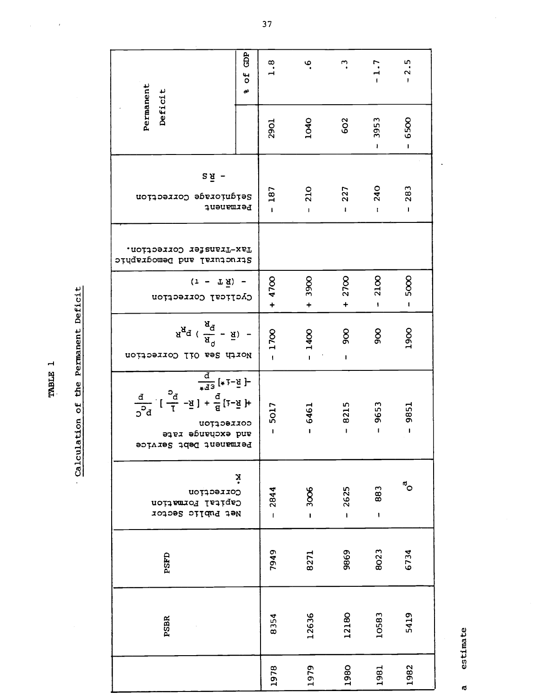a estimate estimate  $\mathbf{\tilde{d}}$ 

| Permanent<br>Deficit                                                                                                                                                                                             | GDP<br>of<br>ď | 1.8                    | ڢ                          | ີ.                   | $-1.7$               | $-2.5$                    |
|------------------------------------------------------------------------------------------------------------------------------------------------------------------------------------------------------------------|----------------|------------------------|----------------------------|----------------------|----------------------|---------------------------|
|                                                                                                                                                                                                                  |                | <b>2901</b>            | 1040                       | 602                  | 3953<br>ı            | 6500<br>$\mathbf I$       |
| $2\bar{A}$ -<br>Serdurorsde Correcrrou<br>Permanent                                                                                                                                                              |                | 187<br>$\mathbf{I}$    | <b>210</b><br>$\mathbf{I}$ | 227                  | <b>240</b><br>ı      | 283<br>$\mathbf{I}$       |
| Tax-Transfer Correction.<br>Structural and Demodraphic                                                                                                                                                           |                |                        |                            |                      |                      |                           |
| $(r - T\bar{A}) -$<br>Cyclical Correction                                                                                                                                                                        |                | $+4700$                | 3900<br>$\ddotmark$        | 2700<br>$\ddot{}$    | 2100<br>ŧ            | 5000<br>$\mathbf{I}$      |
| $A_{R}$ q ( $\frac{A^{Q}}{R} - \bar{R}$ ) -<br>North Sea Oil Correction                                                                                                                                          |                | 1700<br>$\overline{1}$ | $-1400$                    | 500<br>$\mathbf I$   | 800                  | 1900                      |
| $\frac{d}{\sqrt{d}}$ [*1- $\frac{1}{2}$ ]<br>$\frac{1}{2}$ = $\frac{1}{2}$ + $\frac{1}{2}$ + $\frac{1}{2}$ + $\frac{1}{2}$ +<br>$rac{d}{d}$<br>$2d$<br>correction<br>and excuange rate<br>Permanent Dept Service |                | $-5017$                | $-6461$                    | 8215<br>$\mathbf{I}$ | 9653<br>$\mathbf{I}$ | 9851<br>$\blacksquare$    |
| ż<br>Correction<br>Capital Formation<br>Net Public Sector                                                                                                                                                        |                | 2844<br>$\mathbf{I}$   | 3006<br>$\mathbf{I}$       | 2625<br>Ĺ            | 883<br>$\mathbf{I}$  | $\mathbf{e}^{\mathbf{e}}$ |
| PSFD                                                                                                                                                                                                             |                | 7949                   | 8271                       | 9869                 | 8023                 | 6734                      |
| <b>PSBR</b>                                                                                                                                                                                                      |                | 8354                   | 12636                      | 12180                | 10583                | 5419                      |
|                                                                                                                                                                                                                  |                | 1978                   | 1979                       | 1980                 | 1981                 | 1982                      |

Calculation of the Permanent Deficit Calculation of the Permanent Deficit

TABLE 1

 $\overline{1}$ 

 $\overline{37}$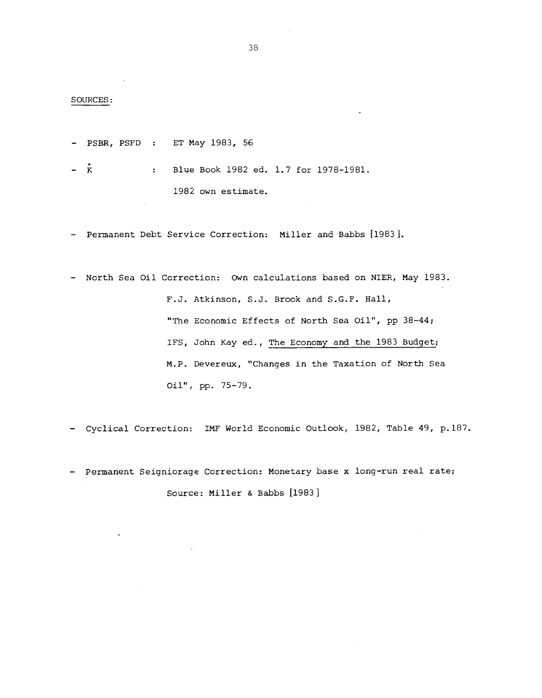#### SOURCES:

— PSBR, PSFD : ET May 1983, 56

— K : Blue Book 1982 ed. 1.7 for 1978—1981. 1982 own estimate.

— Permanent Debt Service Correction: Miller and Babbs [1983].

— North Sea Oil Correction: Own calculations based on NIER, May 1983. F.J. Atkinson, S.J. Brook and S.G.F. Hall, "The Economic Effects of North Sea Oil", pp 38—44; IFS, John Kay ed., The Economy and the 1983 Budget; M.P. Devereux, "Changes in the Taxation of North Sea Oil", Pp. 75—79.

— Cyclical Correction: IMF World Economic Outlook, 1982, Table 49, p.187.

— Permanent Seigniorage Correction: Monetary base x long—run real rate; Source: Miller & Babbs [1983]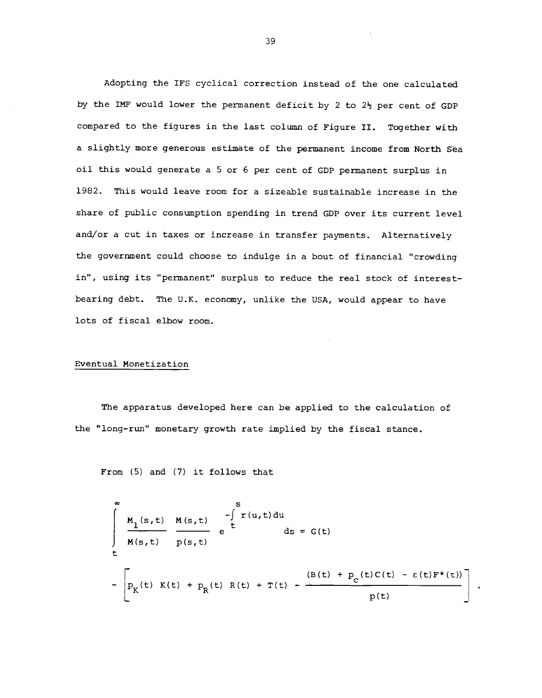Adopting the IFS cyclical correction instead of the one calculated by the IMF would lower the permanent deficit by 2 to  $2\frac{1}{2}$  per cent of GDP compared to the figures in the last column of Figure II. Together with a slightly more generous estimate of the permanent income from North Sea oil this would generate a 5 or 6 per cent of GDP permanent surplus in 1982. This would leave room for a sizeable sustainable increase in the share of public consumption spending in trend GDP over its current level and/or a cut in taxes or increase in transfer payments. Alternatively the government could choose to indulge in a bout of financial "crowding in", using its "permanent" surplus to reduce the real stock of interestbearing debt. The U.K. economy, unlike the USA, would appear to have lots of fiscal elbow room.

#### Eventual Monetization

The apparatus developed here can be applied to the calculation of the "long—run" monetary growth rate implied by the fiscal stance.

From (5) and (7) it follows that

$$
\int_{\frac{R}{t}}^{\infty} \frac{M_{1}(s,t)}{M(s,t)} \frac{M(s,t)}{p(s,t)} e^{\int_{t}^{S} T(u,t) du} ds = G(t)
$$
  
-
$$
\left[ P_{K}(t) K(t) + P_{R}(t) R(t) + T(t) - \frac{(B(t) + P_{C}(t)C(t) - \varepsilon(t)F^{*}(t))}{p(t)} \right].
$$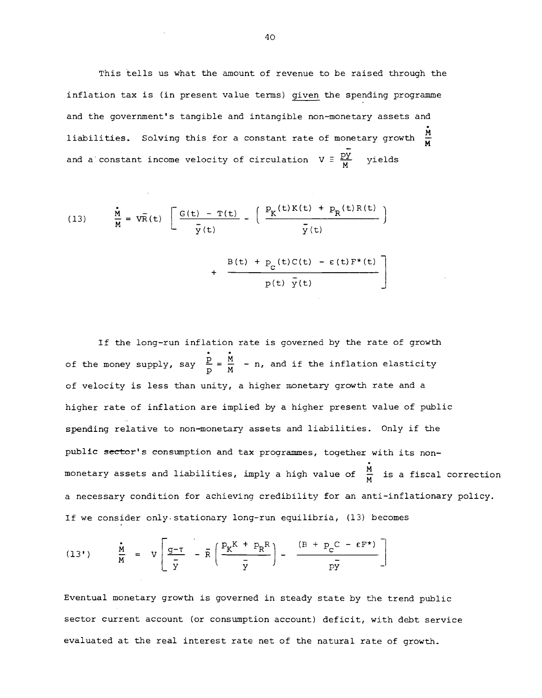This tells us what the amount of revenue to be raised through the inflation tax is (in present value terms) given the spending programme and the government's tangible and intangible non-monetary assets and liabilities. Solving this for a constant rate of monetary growth  $\frac{M}{M}$ and a constant income velocity of circulation  $V = \frac{PY}{M}$  yields

(13) 
$$
\frac{\dot{M}}{M} = V\overline{R}(t) \left[ \frac{G(t) - T(t)}{\overline{y}(t)} - \left( \frac{P_K(t)K(t) + P_R(t)R(t)}{\overline{y}(t)} \right) + \frac{B(t) + P_C(t)C(t) - \epsilon(t)F^*(t)}{p(t) \overline{y}(t)} \right]
$$

If the long—run inflation rate is governed by the rate of growth of the money supply, say  $\frac{p}{p} = \frac{M}{M}$  - n, and if the inflation elasticity of velocity is less than unity, a higher monetary growth rate and a higher rate of inflation are implied by a higher present value of public spending relative to non—monetary assets and liabilities. Only if the public sector's consumption and tax programmes, together with its nonmonetary assets and liabilities, imply a high value of  $\frac{\breve{M}}{M}$  is a fiscal correction a necessary condition for achieving credibility for an anti—inflationary policy. If we consider only.stationary long-run equilibria, (13) becomes

(13') 
$$
\frac{\dot{M}}{M} = V \left[ \frac{g-\tau}{\overline{y}} - \overline{R} \left( \frac{P_K K + P_R R}{\overline{y}} \right) - \frac{(B + P_C C - \epsilon F^*)}{\overline{py}} \right]
$$

Eventual monetary growth is governed in steady state by the trend public sector current account (or consumption account) deficit, with debt service evaluated at the real interest rate net of the natural rate of growth.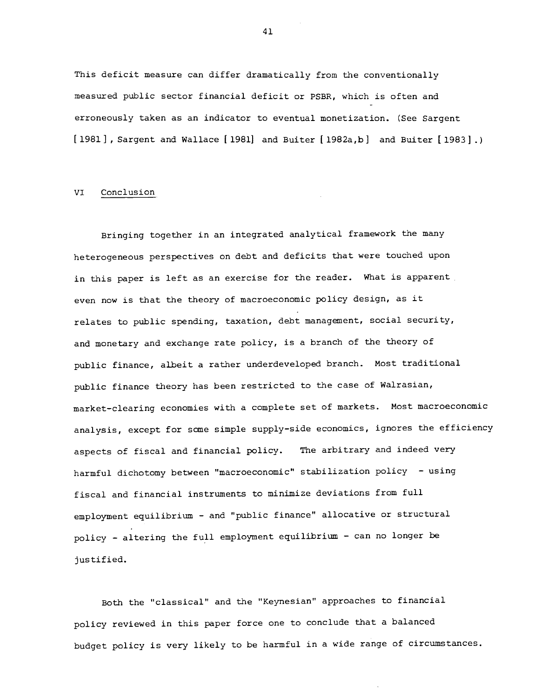This deficit measure can differ dramatically from the conventionally measured public sector financial deficit or PSER, which is often and erroneously taken as an indicator to eventual monetization. (See Sargent [1981], Sargent and Wallace [1981] and Buiter [1982a,b] and Buiter [1983].)

# VI Conclusion

Bringing together in an integrated analytical framework the many heterogeneous perspectives on debt and deficits that were touched upon in this paper is left as an exercise for the reader. What is apparent even now is that the theory of macroeconomic policy design, as it relates to public spending, taxation, debt management, social security, and monetary and exchange rate policy, is a branch of the theory of public finance, albeit a rather underdeveloped branch. Most traditional public finance theory has been restricted to the case of Walrasian, market—clearing economies with a complete set of markets. Most macroeconomic analysis, except for some simple supply—side economics, ignores the efficiency aspects of fiscal and financial policy. The arbitrary and indeed very harmful dichotomy between "macroeconomic" stabilization policy — using fiscal and financial instruments to minimize deviations from full employment equilibrium — and "public finance" allocative or structural policy — altering the full employment equilibrium — can no longer be justified.

Both the "classical" and the "Keynesian" approaches to financial policy reviewed in this paper force one to conclude that a balanced budget policy is very likely to be harmful in a wide range of circumstances.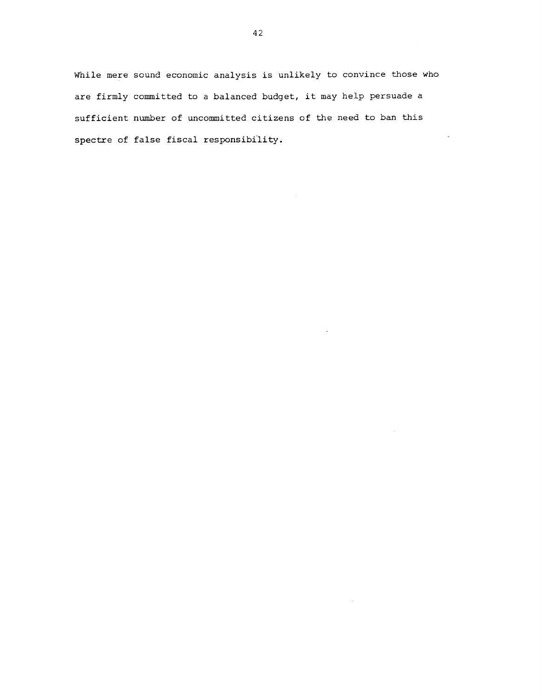While mere sound economic analysis is unlikely to convince those who are firmly committed to a balanced budget, it may help persuade a sufficient number of uncommitted citizens of the need to ban this spectre of false fiscal responsibility.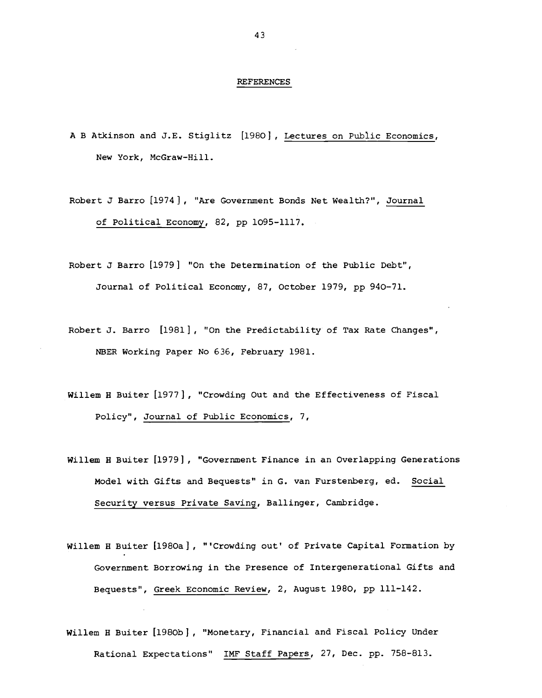#### REFERENCES

A B Atkinson and J.E. Stiglitz [1980], Lectures on Public Economics, New York, McGraw-Hill.

Robert J Barro [1974] , "Are Government Bonds Net Wealth?", Journal of Political Economy, 82, pp 1095-1117.

Robert J Barro [1979] "On the Determination of the Public Debt", Journal of Political Economy, 87, October 1979, pp 940—71.

- Robert J. Barro [1981], "On the Predictability of Tax Rate Changes", NBER Working Paper No 636, February 1981.
- Willem H Buiter [1977], "Crowding Out and the Effectiveness of Fiscal Policy", Journal of Public Economics, 7,
- Willem H Buiter [1979] , "Government Finance in an Overlapping Generations Model with Gifts and Bequests" in G. van Furstenberg, ed. Social Security versus Private Saving, Ballinger, Cambridge.
- Willem H Buiter [l98Oa] , "'Crowding out' of Private Capital Formation by Government Borrowing in the Presence of Intergenerational Gifts and Bequests", Greek Economic Review, 2, August 1980, pp 111—142.
- Willem H Buiter [1980b], "Monetary, Financial and Fiscal Policy Under Rational Expectations" IMF Staff Papers, 27, Dec. pp. 758—813.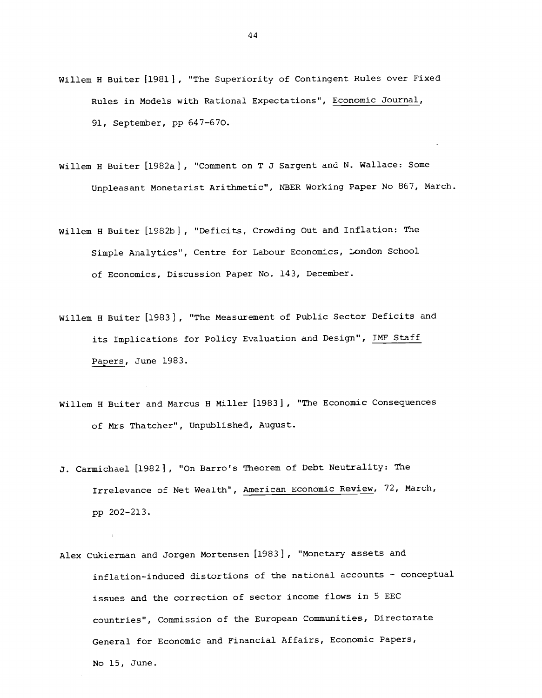- Willem H Buiter [1981], "The Superiority of Contingent Rules over Fixed Rules in Models with Rational Expectations", Economic Journal, 91, September, pp 647—670.
- Willem H Buiter [1982a] , "Comment on T J Sargent and N. Wallace: Some Unpleasant Monetarist Arithmetic", NBER Working Paper No 867, March.
- Willem H Buiter [1982b] , "Deficits, Crowding Out and Inflation: The Simple Analytics", Centre for Labour Economics, London School of Economics, Discussion Paper No. 143, December.
- Willem <sup>H</sup> Buiter [1983] , "The Measurement of Public Sector Deficits and its Implications for Policy Evaluation and Design", IMF Staff Papers, June 1983.
- Willem H Buiter and Marcus H Miller [1983] , "The Economic Consequences of Mrs Thatcher", Unpublished, August.
- J. Carmichael [1982], "On Barro's Theorem of Debt Neutrality: The Irrelevance of Net Wealth", American Economic Review, 72, March, pp 202—213.
- Alex Cukierman and Jorgen Mortensen [1983], "Monetary assets and inflation-induced distortions of the national accounts — conceptual issues and the correction of sector income flows in 5 EEC countries", Commission of the European Communities, Directorate General for Economic and Financial Affairs, Economic Papers, No 15, June.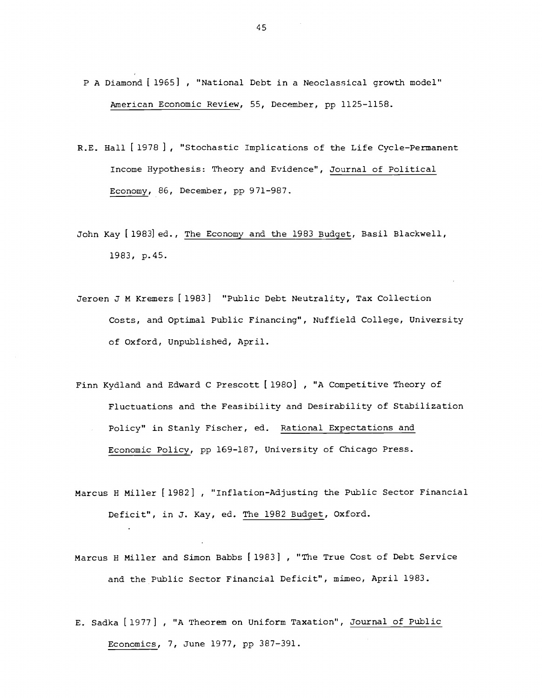- P A Diamond [ 1965] , "National Debt in a Neoclassical growth model" american Economic Review, 55, December, pp 1125-1158.
- R.E. Hall [1978 ] "Stochastic Implications of the Life Cycle—Permanent Income Hypothesis: Theory and Evidence", Journal of Political Economy, 86, December, pp 971-987.
- John Kay [1983] ed., The Economy and the 1983 Budget, Basil Blackwell, 1983, p.45.
- Jeroen J M Kremers [1983] "Public Debt Neutrality, Tax Collection Costs, and Optimal Public Financing", Nuffield College, University of Oxford, Unpublished, April.
- Finn Kydland and Edward C Prescott [1980] , "A Competitive Theory of Fluctuations and the Feasibility and Desirability of Stabilization Policy" in Stanly Fischer, ed. Rational Expectations and Economic Policy, pp 169-187, University of Chicago Press.
- Marcus H Miller [1982] , "Inflation-Adjusting the Public Sector Financial Deficit", in J. Kay, ed. The 1982 Budget, Oxford.
- Marcus H Miller and Simon Babbs [1983] , "The True Cost of Debt Service and the Public Sector Financial Deficit", mimeo, April 1983.
- E. Sadka [1977] , "A Theorem on Uniform Taxation", Journal of Public Economics, 7, June 1977, pp 387—391.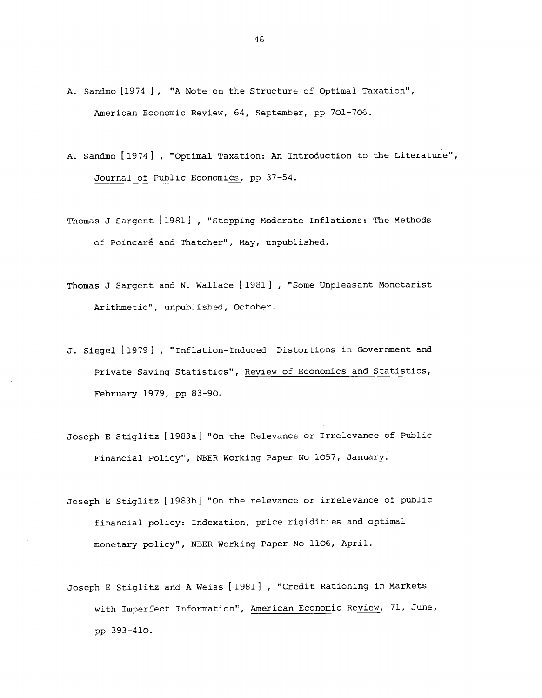- A. Sandmo [1974 ] , "A Note on the Structure of Optimal Taxation", American Economic Review, 64, September, pp 701—706.
- A. Sandmo [1974], "Optimal Taxation: An Introduction to the Literature", Journal of Public Economics, pp 37—54.
- Thomas J sargent [1981] , "Stopping Moderate Inflations: The Methods of Poincaré and Thatcher", May, unpublished.
- Thomas J Sargent and N. Wallace [1981] , "Some Unpleasant Monetarist Arithmetic", unpublished, October.
- J. Siegel [1979] , "Inflation-Induced Distortions in Government and Private Saving Statistics", Review of Economics and Statistics, February 1979, pp 83-90.
- Joseph E Stiglitz [1983a] "On the Relevance or Irrelevance of Public Financial Policy", NBER Working Paper No 1057, January.
- Joseph E stiglitz [1983b] "On the relevance or irrelevance of public financial policy: Indexation, price rigidities and optimal monetary policy", NBER Working Paper No 1106, April.
- Joseph E Stiglitz and A Weiss [1981] , "Credit Rationing in Markets with Imperfect Information", American Economic Review, 71, June, pp 393—410.